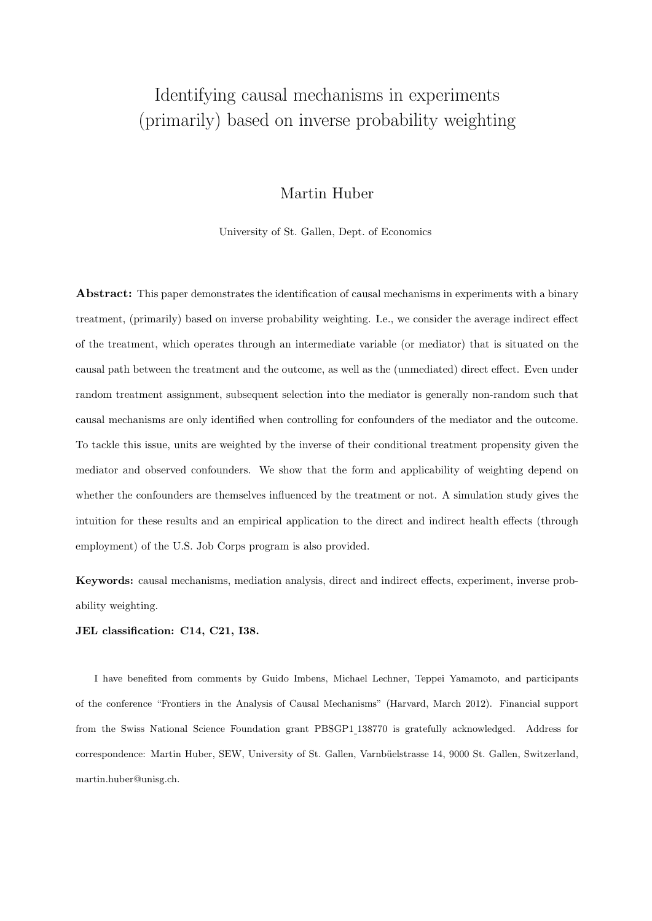# <span id="page-0-0"></span>Identifying causal mechanisms in experiments (primarily) based on inverse probability weighting

## Martin Huber

University of St. Gallen, Dept. of Economics

Abstract: This paper demonstrates the identification of causal mechanisms in experiments with a binary treatment, (primarily) based on inverse probability weighting. I.e., we consider the average indirect effect of the treatment, which operates through an intermediate variable (or mediator) that is situated on the causal path between the treatment and the outcome, as well as the (unmediated) direct effect. Even under random treatment assignment, subsequent selection into the mediator is generally non-random such that causal mechanisms are only identified when controlling for confounders of the mediator and the outcome. To tackle this issue, units are weighted by the inverse of their conditional treatment propensity given the mediator and observed confounders. We show that the form and applicability of weighting depend on whether the confounders are themselves influenced by the treatment or not. A simulation study gives the intuition for these results and an empirical application to the direct and indirect health effects (through employment) of the U.S. Job Corps program is also provided.

Keywords: causal mechanisms, mediation analysis, direct and indirect effects, experiment, inverse probability weighting.

JEL classification: C14, C21, I38.

I have benefited from comments by Guido Imbens, Michael Lechner, Teppei Yamamoto, and participants of the conference "Frontiers in the Analysis of Causal Mechanisms" (Harvard, March 2012). Financial support from the Swiss National Science Foundation grant PBSGP1 138770 is gratefully acknowledged. Address for correspondence: Martin Huber, SEW, University of St. Gallen, Varnbüelstrasse 14, 9000 St. Gallen, Switzerland, martin.huber@unisg.ch.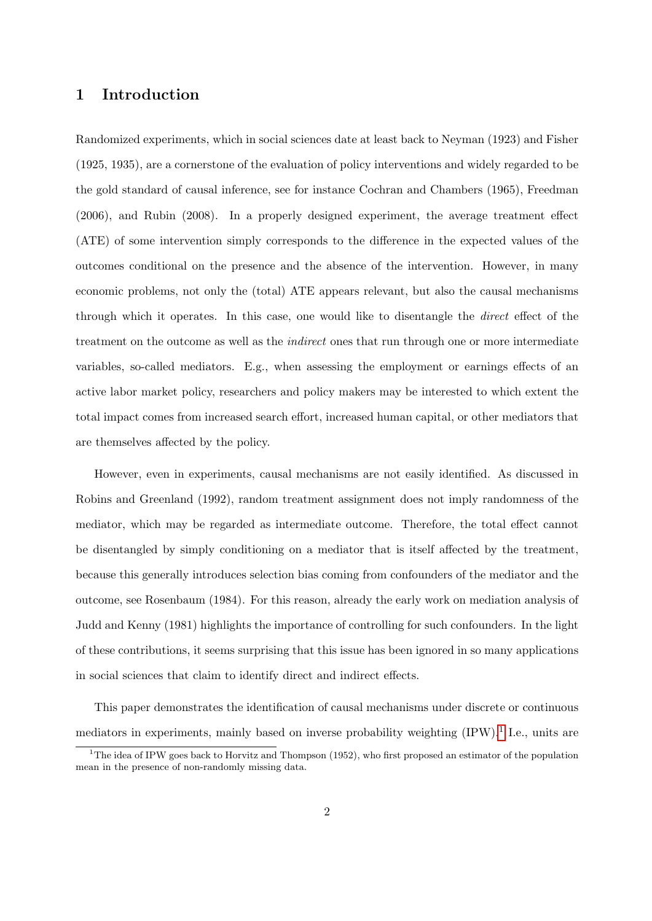### 1 Introduction

Randomized experiments, which in social sciences date at least back to Neyman (1923) and Fisher (1925, 1935), are a cornerstone of the evaluation of policy interventions and widely regarded to be the gold standard of causal inference, see for instance Cochran and Chambers (1965), Freedman (2006), and Rubin (2008). In a properly designed experiment, the average treatment effect (ATE) of some intervention simply corresponds to the difference in the expected values of the outcomes conditional on the presence and the absence of the intervention. However, in many economic problems, not only the (total) ATE appears relevant, but also the causal mechanisms through which it operates. In this case, one would like to disentangle the direct effect of the treatment on the outcome as well as the *indirect* ones that run through one or more intermediate variables, so-called mediators. E.g., when assessing the employment or earnings effects of an active labor market policy, researchers and policy makers may be interested to which extent the total impact comes from increased search effort, increased human capital, or other mediators that are themselves affected by the policy.

However, even in experiments, causal mechanisms are not easily identified. As discussed in Robins and Greenland (1992), random treatment assignment does not imply randomness of the mediator, which may be regarded as intermediate outcome. Therefore, the total effect cannot be disentangled by simply conditioning on a mediator that is itself affected by the treatment, because this generally introduces selection bias coming from confounders of the mediator and the outcome, see Rosenbaum (1984). For this reason, already the early work on mediation analysis of Judd and Kenny (1981) highlights the importance of controlling for such confounders. In the light of these contributions, it seems surprising that this issue has been ignored in so many applications in social sciences that claim to identify direct and indirect effects.

This paper demonstrates the identification of causal mechanisms under discrete or continuous mediators in experiments, mainly based on inverse probability weighting (IPW).<sup>[1](#page-0-0)</sup> I.e., units are

<sup>&</sup>lt;sup>1</sup>The idea of IPW goes back to Horvitz and Thompson  $(1952)$ , who first proposed an estimator of the population mean in the presence of non-randomly missing data.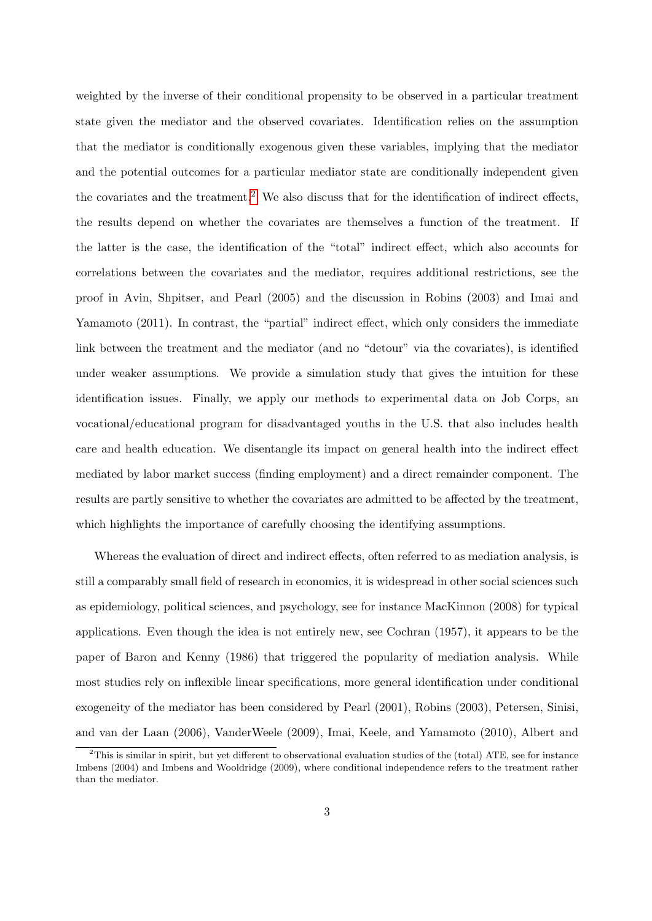weighted by the inverse of their conditional propensity to be observed in a particular treatment state given the mediator and the observed covariates. Identification relies on the assumption that the mediator is conditionally exogenous given these variables, implying that the mediator and the potential outcomes for a particular mediator state are conditionally independent given the covariates and the treatment.<sup>[2](#page-0-0)</sup> We also discuss that for the identification of indirect effects, the results depend on whether the covariates are themselves a function of the treatment. If the latter is the case, the identification of the "total" indirect effect, which also accounts for correlations between the covariates and the mediator, requires additional restrictions, see the proof in Avin, Shpitser, and Pearl (2005) and the discussion in Robins (2003) and Imai and Yamamoto (2011). In contrast, the "partial" indirect effect, which only considers the immediate link between the treatment and the mediator (and no "detour" via the covariates), is identified under weaker assumptions. We provide a simulation study that gives the intuition for these identification issues. Finally, we apply our methods to experimental data on Job Corps, an vocational/educational program for disadvantaged youths in the U.S. that also includes health care and health education. We disentangle its impact on general health into the indirect effect mediated by labor market success (finding employment) and a direct remainder component. The results are partly sensitive to whether the covariates are admitted to be affected by the treatment, which highlights the importance of carefully choosing the identifying assumptions.

Whereas the evaluation of direct and indirect effects, often referred to as mediation analysis, is still a comparably small field of research in economics, it is widespread in other social sciences such as epidemiology, political sciences, and psychology, see for instance MacKinnon (2008) for typical applications. Even though the idea is not entirely new, see Cochran (1957), it appears to be the paper of Baron and Kenny (1986) that triggered the popularity of mediation analysis. While most studies rely on inflexible linear specifications, more general identification under conditional exogeneity of the mediator has been considered by Pearl (2001), Robins (2003), Petersen, Sinisi, and van der Laan (2006), VanderWeele (2009), Imai, Keele, and Yamamoto (2010), Albert and

<sup>2</sup>This is similar in spirit, but yet different to observational evaluation studies of the (total) ATE, see for instance Imbens (2004) and Imbens and Wooldridge (2009), where conditional independence refers to the treatment rather than the mediator.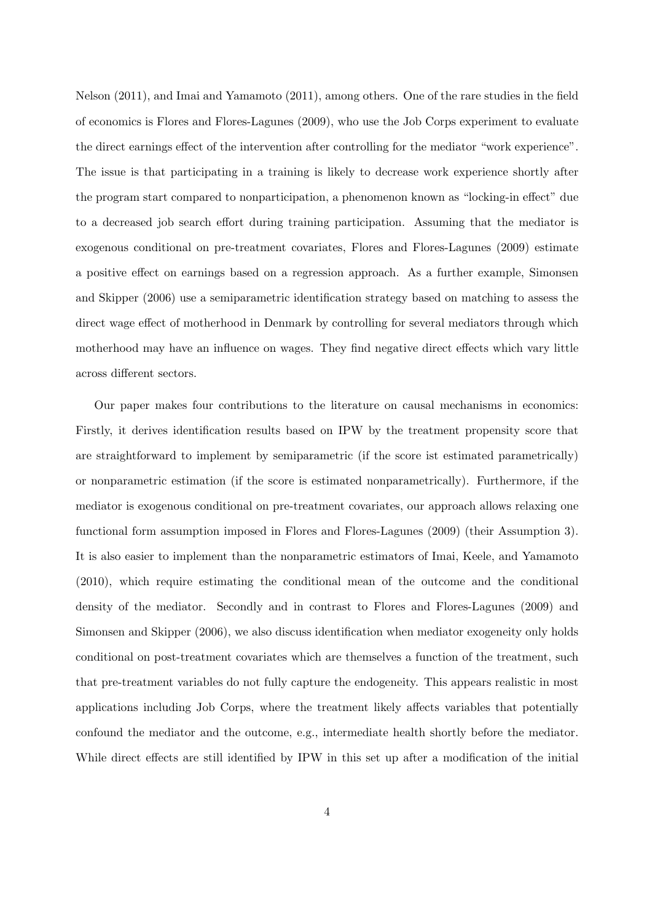Nelson (2011), and Imai and Yamamoto (2011), among others. One of the rare studies in the field of economics is Flores and Flores-Lagunes (2009), who use the Job Corps experiment to evaluate the direct earnings effect of the intervention after controlling for the mediator "work experience". The issue is that participating in a training is likely to decrease work experience shortly after the program start compared to nonparticipation, a phenomenon known as "locking-in effect" due to a decreased job search effort during training participation. Assuming that the mediator is exogenous conditional on pre-treatment covariates, Flores and Flores-Lagunes (2009) estimate a positive effect on earnings based on a regression approach. As a further example, Simonsen and Skipper (2006) use a semiparametric identification strategy based on matching to assess the direct wage effect of motherhood in Denmark by controlling for several mediators through which motherhood may have an influence on wages. They find negative direct effects which vary little across different sectors.

Our paper makes four contributions to the literature on causal mechanisms in economics: Firstly, it derives identification results based on IPW by the treatment propensity score that are straightforward to implement by semiparametric (if the score ist estimated parametrically) or nonparametric estimation (if the score is estimated nonparametrically). Furthermore, if the mediator is exogenous conditional on pre-treatment covariates, our approach allows relaxing one functional form assumption imposed in Flores and Flores-Lagunes (2009) (their Assumption 3). It is also easier to implement than the nonparametric estimators of Imai, Keele, and Yamamoto (2010), which require estimating the conditional mean of the outcome and the conditional density of the mediator. Secondly and in contrast to Flores and Flores-Lagunes (2009) and Simonsen and Skipper (2006), we also discuss identification when mediator exogeneity only holds conditional on post-treatment covariates which are themselves a function of the treatment, such that pre-treatment variables do not fully capture the endogeneity. This appears realistic in most applications including Job Corps, where the treatment likely affects variables that potentially confound the mediator and the outcome, e.g., intermediate health shortly before the mediator. While direct effects are still identified by IPW in this set up after a modification of the initial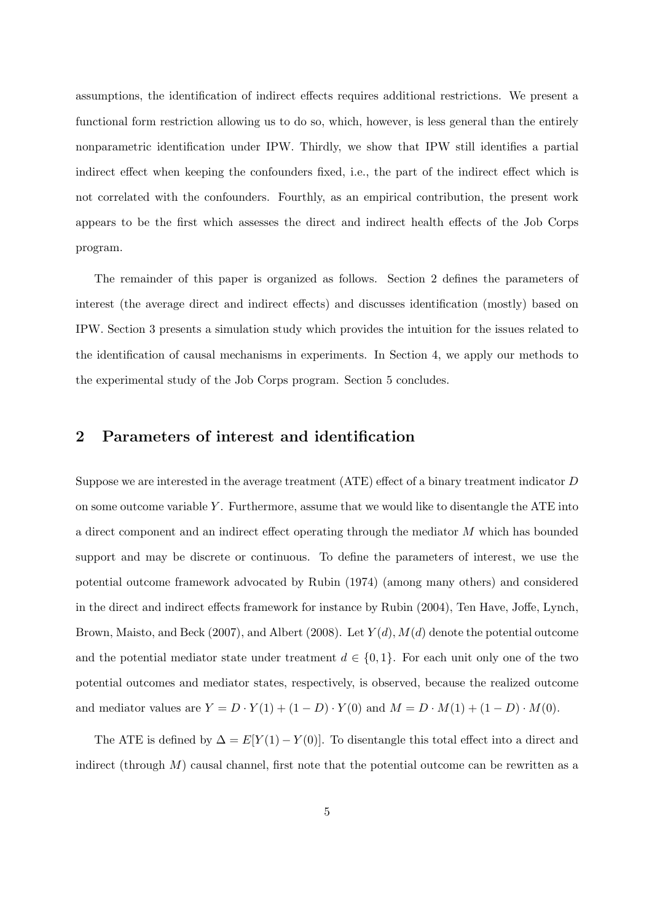assumptions, the identification of indirect effects requires additional restrictions. We present a functional form restriction allowing us to do so, which, however, is less general than the entirely nonparametric identification under IPW. Thirdly, we show that IPW still identifies a partial indirect effect when keeping the confounders fixed, i.e., the part of the indirect effect which is not correlated with the confounders. Fourthly, as an empirical contribution, the present work appears to be the first which assesses the direct and indirect health effects of the Job Corps program.

The remainder of this paper is organized as follows. Section 2 defines the parameters of interest (the average direct and indirect effects) and discusses identification (mostly) based on IPW. Section 3 presents a simulation study which provides the intuition for the issues related to the identification of causal mechanisms in experiments. In Section 4, we apply our methods to the experimental study of the Job Corps program. Section 5 concludes.

### <span id="page-4-0"></span>2 Parameters of interest and identification

Suppose we are interested in the average treatment (ATE) effect of a binary treatment indicator D on some outcome variable  $Y$ . Furthermore, assume that we would like to disentangle the ATE into a direct component and an indirect effect operating through the mediator M which has bounded support and may be discrete or continuous. To define the parameters of interest, we use the potential outcome framework advocated by Rubin (1974) (among many others) and considered in the direct and indirect effects framework for instance by Rubin (2004), Ten Have, Joffe, Lynch, Brown, Maisto, and Beck (2007), and Albert (2008). Let  $Y(d)$ ,  $M(d)$  denote the potential outcome and the potential mediator state under treatment  $d \in \{0,1\}$ . For each unit only one of the two potential outcomes and mediator states, respectively, is observed, because the realized outcome and mediator values are  $Y = D \cdot Y(1) + (1 - D) \cdot Y(0)$  and  $M = D \cdot M(1) + (1 - D) \cdot M(0)$ .

The ATE is defined by  $\Delta = E[Y(1) - Y(0)]$ . To disentangle this total effect into a direct and indirect (through  $M$ ) causal channel, first note that the potential outcome can be rewritten as a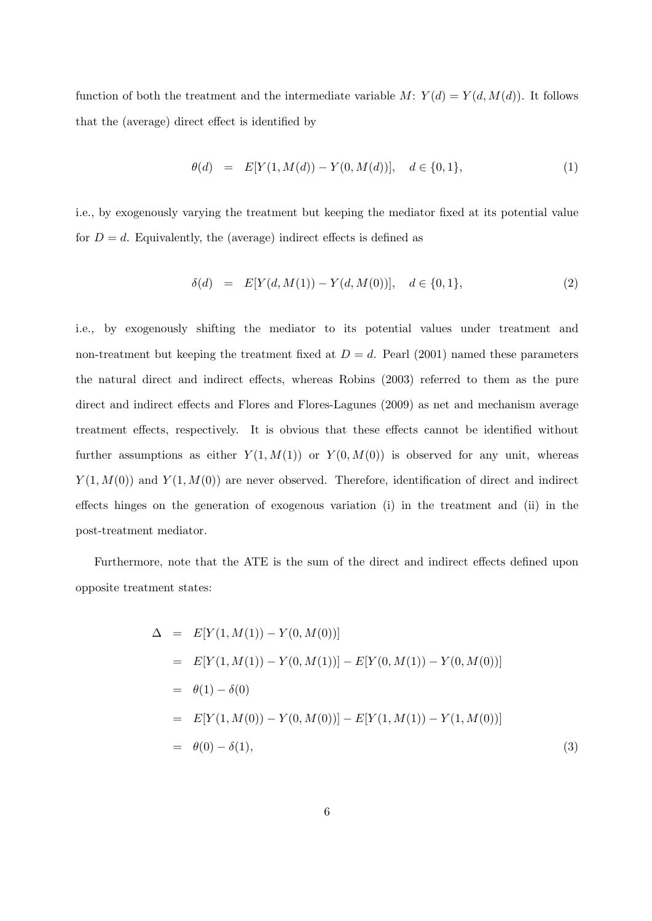function of both the treatment and the intermediate variable  $M: Y(d) = Y(d, M(d))$ . It follows that the (average) direct effect is identified by

$$
\theta(d) = E[Y(1, M(d)) - Y(0, M(d))], \quad d \in \{0, 1\},
$$
\n(1)

i.e., by exogenously varying the treatment but keeping the mediator fixed at its potential value for  $D = d$ . Equivalently, the (average) indirect effects is defined as

$$
\delta(d) = E[Y(d, M(1)) - Y(d, M(0))], \quad d \in \{0, 1\},
$$
\n(2)

i.e., by exogenously shifting the mediator to its potential values under treatment and non-treatment but keeping the treatment fixed at  $D = d$ . Pearl (2001) named these parameters the natural direct and indirect effects, whereas Robins (2003) referred to them as the pure direct and indirect effects and Flores and Flores-Lagunes (2009) as net and mechanism average treatment effects, respectively. It is obvious that these effects cannot be identified without further assumptions as either  $Y(1, M(1))$  or  $Y(0, M(0))$  is observed for any unit, whereas  $Y(1, M(0))$  and  $Y(1, M(0))$  are never observed. Therefore, identification of direct and indirect effects hinges on the generation of exogenous variation (i) in the treatment and (ii) in the post-treatment mediator.

Furthermore, note that the ATE is the sum of the direct and indirect effects defined upon opposite treatment states:

<span id="page-5-0"></span>
$$
\Delta = E[Y(1, M(1)) - Y(0, M(0))]
$$
  
\n
$$
= E[Y(1, M(1)) - Y(0, M(1))] - E[Y(0, M(1)) - Y(0, M(0))]
$$
  
\n
$$
= \theta(1) - \delta(0)
$$
  
\n
$$
= E[Y(1, M(0)) - Y(0, M(0))] - E[Y(1, M(1)) - Y(1, M(0))]
$$
  
\n
$$
= \theta(0) - \delta(1),
$$
\n(3)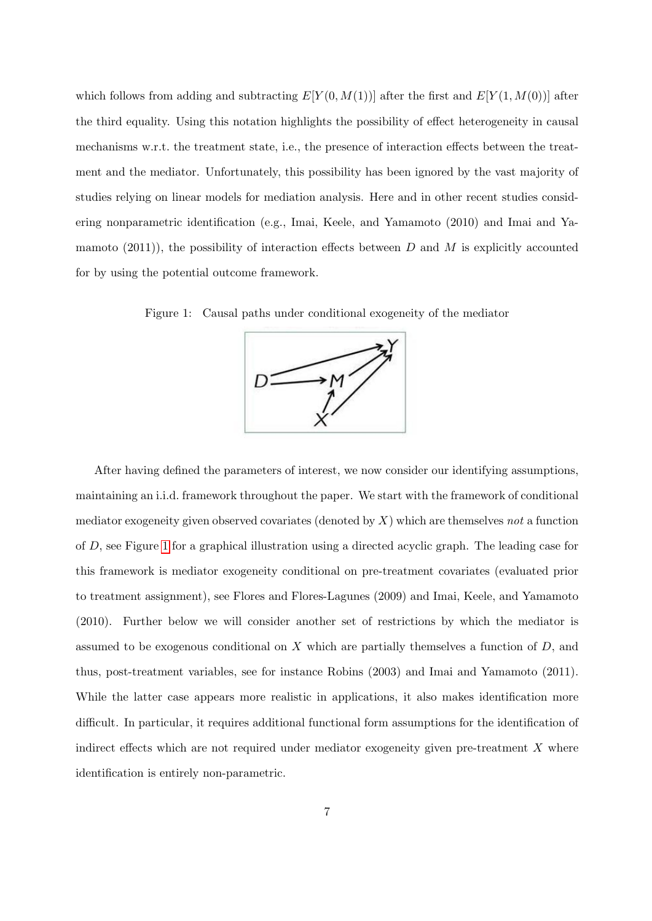which follows from adding and subtracting  $E[Y(0, M(1))]$  after the first and  $E[Y(1, M(0))]$  after the third equality. Using this notation highlights the possibility of effect heterogeneity in causal mechanisms w.r.t. the treatment state, i.e., the presence of interaction effects between the treatment and the mediator. Unfortunately, this possibility has been ignored by the vast majority of studies relying on linear models for mediation analysis. Here and in other recent studies considering nonparametric identification (e.g., Imai, Keele, and Yamamoto (2010) and Imai and Yamamoto  $(2011)$ , the possibility of interaction effects between D and M is explicitly accounted for by using the potential outcome framework.

<span id="page-6-0"></span> $\overline{M}$ 

Figure 1: Causal paths under conditional exogeneity of the mediator

After having defined the parameters of interest, we now consider our identifying assumptions, maintaining an i.i.d. framework throughout the paper. We start with the framework of conditional mediator exogeneity given observed covariates (denoted by  $X$ ) which are themselves not a function of D, see Figure [1](#page-6-0) for a graphical illustration using a directed acyclic graph. The leading case for this framework is mediator exogeneity conditional on pre-treatment covariates (evaluated prior to treatment assignment), see Flores and Flores-Lagunes (2009) and Imai, Keele, and Yamamoto (2010). Further below we will consider another set of restrictions by which the mediator is assumed to be exogenous conditional on  $X$  which are partially themselves a function of  $D$ , and thus, post-treatment variables, see for instance Robins (2003) and Imai and Yamamoto (2011). While the latter case appears more realistic in applications, it also makes identification more difficult. In particular, it requires additional functional form assumptions for the identification of indirect effects which are not required under mediator exogeneity given pre-treatment  $X$  where identification is entirely non-parametric.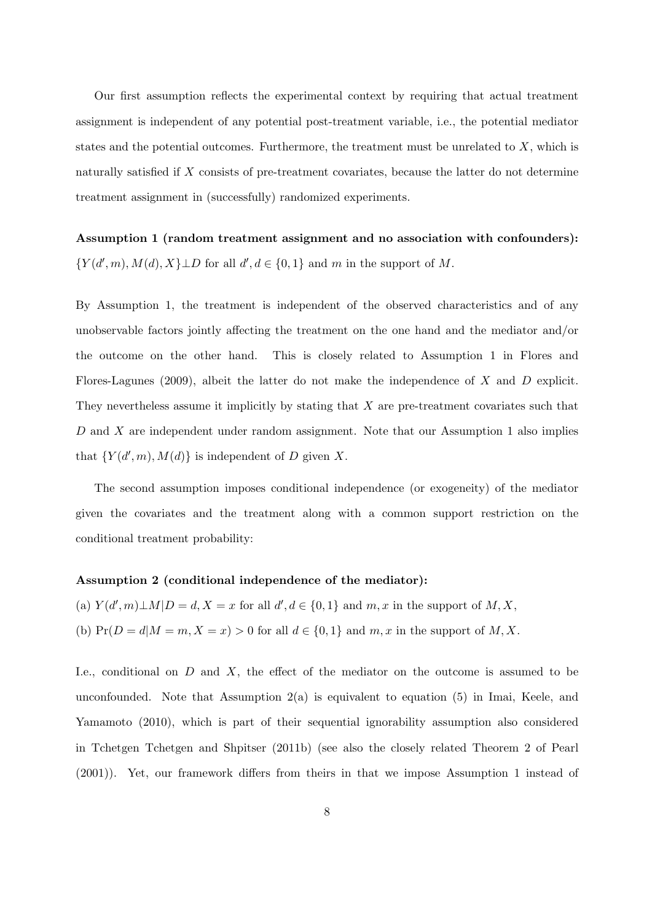Our first assumption reflects the experimental context by requiring that actual treatment assignment is independent of any potential post-treatment variable, i.e., the potential mediator states and the potential outcomes. Furthermore, the treatment must be unrelated to  $X$ , which is naturally satisfied if X consists of pre-treatment covariates, because the latter do not determine treatment assignment in (successfully) randomized experiments.

Assumption 1 (random treatment assignment and no association with confounders):  ${Y(d',m), M(d), X} \perp D$  for all  $d', d \in \{0,1\}$  and m in the support of M.

By Assumption 1, the treatment is independent of the observed characteristics and of any unobservable factors jointly affecting the treatment on the one hand and the mediator and/or the outcome on the other hand. This is closely related to Assumption 1 in Flores and Flores-Lagunes (2009), albeit the latter do not make the independence of X and D explicit. They nevertheless assume it implicitly by stating that  $X$  are pre-treatment covariates such that D and X are independent under random assignment. Note that our Assumption 1 also implies that  $\{Y(d',m), M(d)\}\$ is independent of D given X.

The second assumption imposes conditional independence (or exogeneity) of the mediator given the covariates and the treatment along with a common support restriction on the conditional treatment probability:

#### Assumption 2 (conditional independence of the mediator):

(a)  $Y(d', m) \perp M | D = d, X = x$  for all  $d', d \in \{0, 1\}$  and  $m, x$  in the support of  $M, X$ ,

(b)  $Pr(D = d|M = m, X = x) > 0$  for all  $d \in \{0, 1\}$  and  $m, x$  in the support of  $M, X$ .

I.e., conditional on  $D$  and  $X$ , the effect of the mediator on the outcome is assumed to be unconfounded. Note that Assumption  $2(a)$  is equivalent to equation  $(5)$  in Imai, Keele, and Yamamoto (2010), which is part of their sequential ignorability assumption also considered in Tchetgen Tchetgen and Shpitser (2011b) (see also the closely related Theorem 2 of Pearl (2001)). Yet, our framework differs from theirs in that we impose Assumption 1 instead of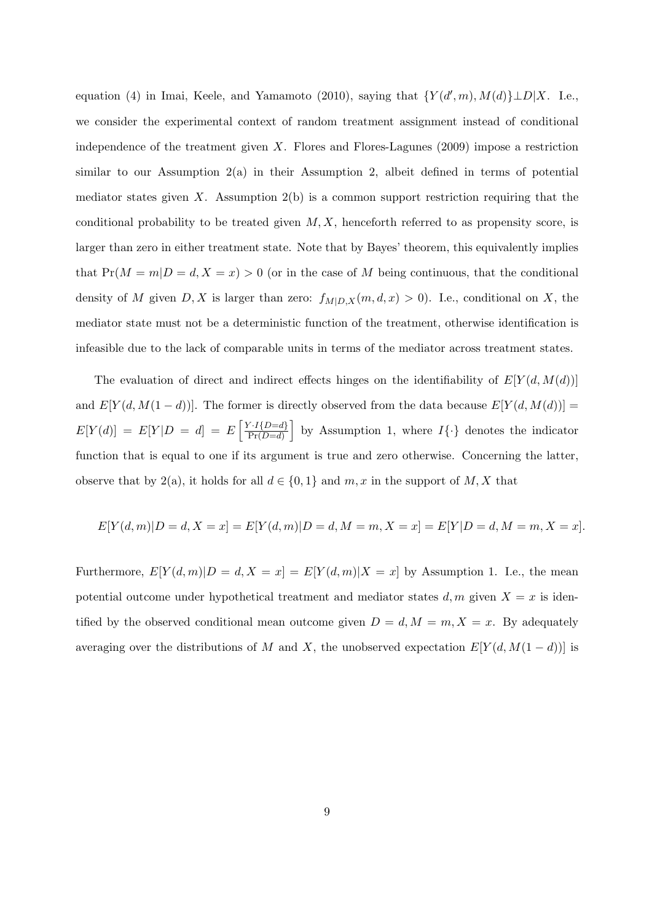equation (4) in Imai, Keele, and Yamamoto (2010), saying that  $\{Y(d', m), M(d)\} \perp D | X$ . I.e., we consider the experimental context of random treatment assignment instead of conditional independence of the treatment given X. Flores and Flores-Lagunes  $(2009)$  impose a restriction similar to our Assumption 2(a) in their Assumption 2, albeit defined in terms of potential mediator states given X. Assumption  $2(b)$  is a common support restriction requiring that the conditional probability to be treated given  $M, X$ , henceforth referred to as propensity score, is larger than zero in either treatment state. Note that by Bayes' theorem, this equivalently implies that  $Pr(M = m | D = d, X = x) > 0$  (or in the case of M being continuous, that the conditional density of M given  $D, X$  is larger than zero:  $f_{M|D,X}(m, d, x) > 0$ . I.e., conditional on X, the mediator state must not be a deterministic function of the treatment, otherwise identification is infeasible due to the lack of comparable units in terms of the mediator across treatment states.

The evaluation of direct and indirect effects hinges on the identifiability of  $E[Y(d, M(d))]$ and  $E[Y(d, M(1-d))]$ . The former is directly observed from the data because  $E[Y(d, M(d))]$  $E[Y(d)] = E[Y|D = d] = E\left[\frac{Y \cdot I\{D=d\}}{\Pr(D=d)}\right]$  $\frac{P\{I\}\{I\}}{\Pr(D=d)}$  by Assumption 1, where  $I\{\cdot\}$  denotes the indicator function that is equal to one if its argument is true and zero otherwise. Concerning the latter, observe that by 2(a), it holds for all  $d \in \{0,1\}$  and  $m, x$  in the support of  $M, X$  that

$$
E[Y(d, m)|D = d, X = x] = E[Y(d, m)|D = d, M = m, X = x] = E[Y|D = d, M = m, X = x].
$$

Furthermore,  $E[Y(d, m)|D = d, X = x] = E[Y(d, m)|X = x]$  by Assumption 1. I.e., the mean potential outcome under hypothetical treatment and mediator states  $d, m$  given  $X = x$  is identified by the observed conditional mean outcome given  $D = d, M = m, X = x$ . By adequately averaging over the distributions of M and X, the unobserved expectation  $E[Y(d, M(1-d))]$  is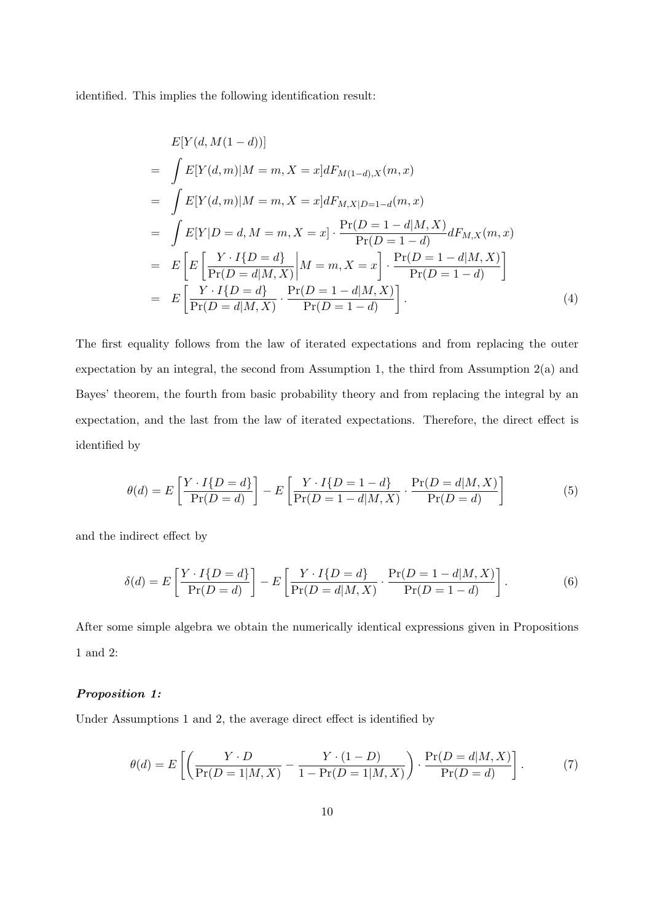identified. This implies the following identification result:

<span id="page-9-0"></span>
$$
E[Y(d, M(1 - d))]
$$
  
=  $\int E[Y(d, m)|M = m, X = x]dF_{M(1-d), X}(m, x)$   
=  $\int E[Y(d, m)|M = m, X = x]dF_{M, X|D=1-d}(m, x)$   
=  $\int E[Y|D = d, M = m, X = x] \cdot \frac{\Pr(D = 1 - d|M, X)}{\Pr(D = 1 - d)} dF_{M, X}(m, x)$   
=  $E\left[E\left[\frac{Y \cdot I\{D = d\}}{\Pr(D = d|M, X)}\middle|M = m, X = x\right] \cdot \frac{\Pr(D = 1 - d|M, X)}{\Pr(D = 1 - d)}\right]$   
=  $E\left[\frac{Y \cdot I\{D = d\}}{\Pr(D = d|M, X)} \cdot \frac{\Pr(D = 1 - d|M, X)}{\Pr(D = 1 - d)}\right].$  (4)

The first equality follows from the law of iterated expectations and from replacing the outer expectation by an integral, the second from Assumption 1, the third from Assumption 2(a) and Bayes' theorem, the fourth from basic probability theory and from replacing the integral by an expectation, and the last from the law of iterated expectations. Therefore, the direct effect is identified by

$$
\theta(d) = E\left[\frac{Y \cdot I\{D=d\}}{\Pr(D=d)}\right] - E\left[\frac{Y \cdot I\{D=1-d\}}{\Pr(D=1-d|M,X)} \cdot \frac{\Pr(D=d|M,X)}{\Pr(D=d)}\right]
$$
(5)

and the indirect effect by

$$
\delta(d) = E\left[\frac{Y \cdot I\{D=d\}}{\Pr(D=d)}\right] - E\left[\frac{Y \cdot I\{D=d\}}{\Pr(D=d|M,X)} \cdot \frac{\Pr(D=1-d|M,X)}{\Pr(D=1-d)}\right].
$$
\n(6)

After some simple algebra we obtain the numerically identical expressions given in Propositions 1 and 2:

#### Proposition 1:

Under Assumptions 1 and 2, the average direct effect is identified by

$$
\theta(d) = E\left[ \left( \frac{Y \cdot D}{\Pr(D=1|M,X)} - \frac{Y \cdot (1-D)}{1 - \Pr(D=1|M,X)} \right) \cdot \frac{\Pr(D=d|M,X)}{\Pr(D=d)} \right].
$$
 (7)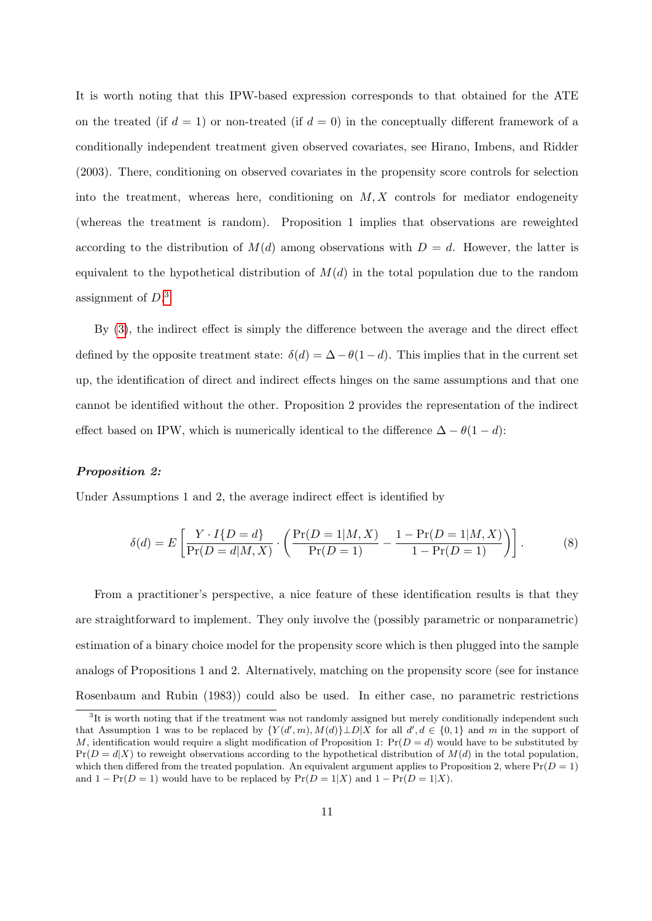It is worth noting that this IPW-based expression corresponds to that obtained for the ATE on the treated (if  $d = 1$ ) or non-treated (if  $d = 0$ ) in the conceptually different framework of a conditionally independent treatment given observed covariates, see Hirano, Imbens, and Ridder (2003). There, conditioning on observed covariates in the propensity score controls for selection into the treatment, whereas here, conditioning on  $M, X$  controls for mediator endogeneity (whereas the treatment is random). Proposition 1 implies that observations are reweighted according to the distribution of  $M(d)$  among observations with  $D = d$ . However, the latter is equivalent to the hypothetical distribution of  $M(d)$  in the total population due to the random assignment of  $D$ <sup>[3](#page-0-0)</sup>

By [\(3\)](#page-5-0), the indirect effect is simply the difference between the average and the direct effect defined by the opposite treatment state:  $\delta(d) = \Delta - \theta(1-d)$ . This implies that in the current set up, the identification of direct and indirect effects hinges on the same assumptions and that one cannot be identified without the other. Proposition 2 provides the representation of the indirect effect based on IPW, which is numerically identical to the difference  $\Delta - \theta(1 - d)$ :

#### Proposition 2:

Under Assumptions 1 and 2, the average indirect effect is identified by

$$
\delta(d) = E\left[\frac{Y \cdot I\{D=d\}}{\Pr(D=d|M, X)} \cdot \left(\frac{\Pr(D=1|M, X)}{\Pr(D=1)} - \frac{1 - \Pr(D=1|M, X)}{1 - \Pr(D=1)}\right)\right].
$$
\n(8)

From a practitioner's perspective, a nice feature of these identification results is that they are straightforward to implement. They only involve the (possibly parametric or nonparametric) estimation of a binary choice model for the propensity score which is then plugged into the sample analogs of Propositions 1 and 2. Alternatively, matching on the propensity score (see for instance Rosenbaum and Rubin (1983)) could also be used. In either case, no parametric restrictions

<sup>&</sup>lt;sup>3</sup>It is worth noting that if the treatment was not randomly assigned but merely conditionally independent such that Assumption 1 was to be replaced by  $\{Y(d',m), M(d)\}\perp D|X$  for all  $d', d \in \{0,1\}$  and m in the support of M, identification would require a slight modification of Proposition 1:  $Pr(D = d)$  would have to be substituted by  $Pr(D = d|X)$  to reweight observations according to the hypothetical distribution of  $M(d)$  in the total population, which then differed from the treated population. An equivalent argument applies to Proposition 2, where  $Pr(D = 1)$ and  $1 - \Pr(D = 1)$  would have to be replaced by  $\Pr(D = 1|X)$  and  $1 - \Pr(D = 1|X)$ .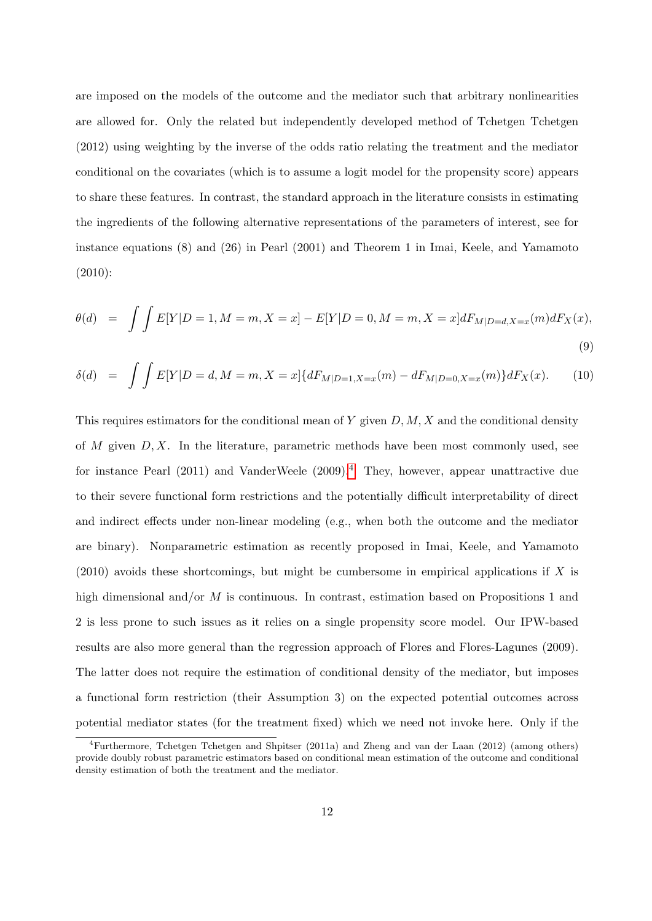are imposed on the models of the outcome and the mediator such that arbitrary nonlinearities are allowed for. Only the related but independently developed method of Tchetgen Tchetgen (2012) using weighting by the inverse of the odds ratio relating the treatment and the mediator conditional on the covariates (which is to assume a logit model for the propensity score) appears to share these features. In contrast, the standard approach in the literature consists in estimating the ingredients of the following alternative representations of the parameters of interest, see for instance equations (8) and (26) in Pearl (2001) and Theorem 1 in Imai, Keele, and Yamamoto (2010):

$$
\theta(d) = \int \int E[Y|D=1, M=m, X=x] - E[Y|D=0, M=m, X=x]dF_{M|D=d, X=x}(m)dF_X(x),
$$
\n(9)

$$
\delta(d) = \int \int E[Y|D = d, M = m, X = x] \{ dF_{M|D=1, X=x}(m) - dF_{M|D=0, X=x}(m) \} dF_X(x). \tag{10}
$$

This requires estimators for the conditional mean of Y given  $D, M, X$  and the conditional density of M given  $D, X$ . In the literature, parametric methods have been most commonly used, see for instance Pearl (2011) and VanderWeele (2009).<sup>[4](#page-0-0)</sup> They, however, appear unattractive due to their severe functional form restrictions and the potentially difficult interpretability of direct and indirect effects under non-linear modeling (e.g., when both the outcome and the mediator are binary). Nonparametric estimation as recently proposed in Imai, Keele, and Yamamoto  $(2010)$  avoids these shortcomings, but might be cumbersome in empirical applications if X is high dimensional and/or  $M$  is continuous. In contrast, estimation based on Propositions 1 and 2 is less prone to such issues as it relies on a single propensity score model. Our IPW-based results are also more general than the regression approach of Flores and Flores-Lagunes (2009). The latter does not require the estimation of conditional density of the mediator, but imposes a functional form restriction (their Assumption 3) on the expected potential outcomes across potential mediator states (for the treatment fixed) which we need not invoke here. Only if the

<sup>4</sup>Furthermore, Tchetgen Tchetgen and Shpitser (2011a) and Zheng and van der Laan (2012) (among others) provide doubly robust parametric estimators based on conditional mean estimation of the outcome and conditional density estimation of both the treatment and the mediator.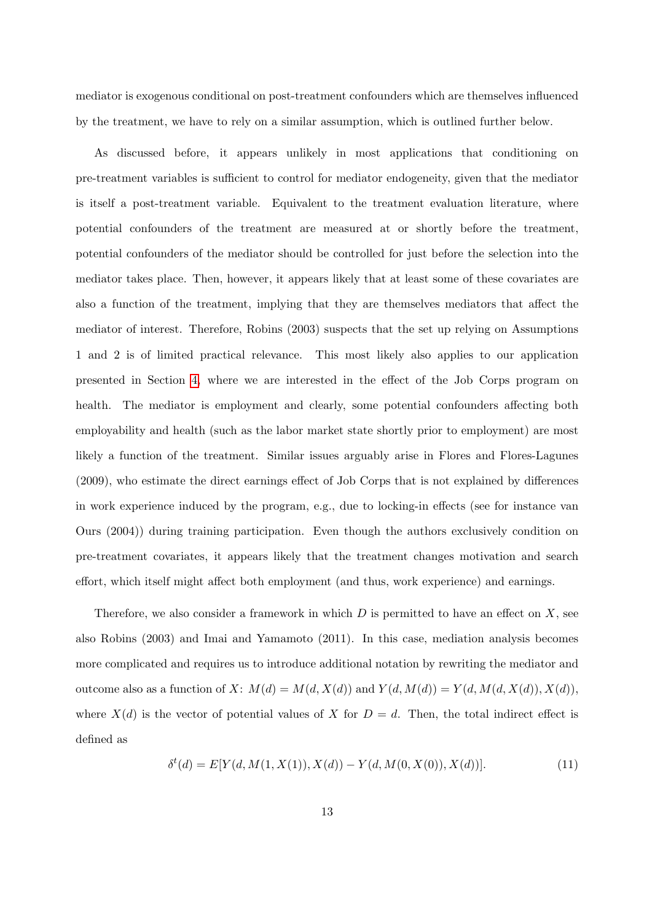mediator is exogenous conditional on post-treatment confounders which are themselves influenced by the treatment, we have to rely on a similar assumption, which is outlined further below.

As discussed before, it appears unlikely in most applications that conditioning on pre-treatment variables is sufficient to control for mediator endogeneity, given that the mediator is itself a post-treatment variable. Equivalent to the treatment evaluation literature, where potential confounders of the treatment are measured at or shortly before the treatment, potential confounders of the mediator should be controlled for just before the selection into the mediator takes place. Then, however, it appears likely that at least some of these covariates are also a function of the treatment, implying that they are themselves mediators that affect the mediator of interest. Therefore, Robins (2003) suspects that the set up relying on Assumptions 1 and 2 is of limited practical relevance. This most likely also applies to our application presented in Section [4,](#page-25-0) where we are interested in the effect of the Job Corps program on health. The mediator is employment and clearly, some potential confounders affecting both employability and health (such as the labor market state shortly prior to employment) are most likely a function of the treatment. Similar issues arguably arise in Flores and Flores-Lagunes (2009), who estimate the direct earnings effect of Job Corps that is not explained by differences in work experience induced by the program, e.g., due to locking-in effects (see for instance van Ours (2004)) during training participation. Even though the authors exclusively condition on pre-treatment covariates, it appears likely that the treatment changes motivation and search effort, which itself might affect both employment (and thus, work experience) and earnings.

Therefore, we also consider a framework in which  $D$  is permitted to have an effect on  $X$ , see also Robins (2003) and Imai and Yamamoto (2011). In this case, mediation analysis becomes more complicated and requires us to introduce additional notation by rewriting the mediator and outcome also as a function of X:  $M(d) = M(d, X(d))$  and  $Y(d, M(d)) = Y(d, M(d, X(d)), X(d)),$ where  $X(d)$  is the vector of potential values of X for  $D = d$ . Then, the total indirect effect is defined as

<span id="page-12-0"></span>
$$
\delta^{t}(d) = E[Y(d, M(1, X(1)), X(d)) - Y(d, M(0, X(0)), X(d))].
$$
\n(11)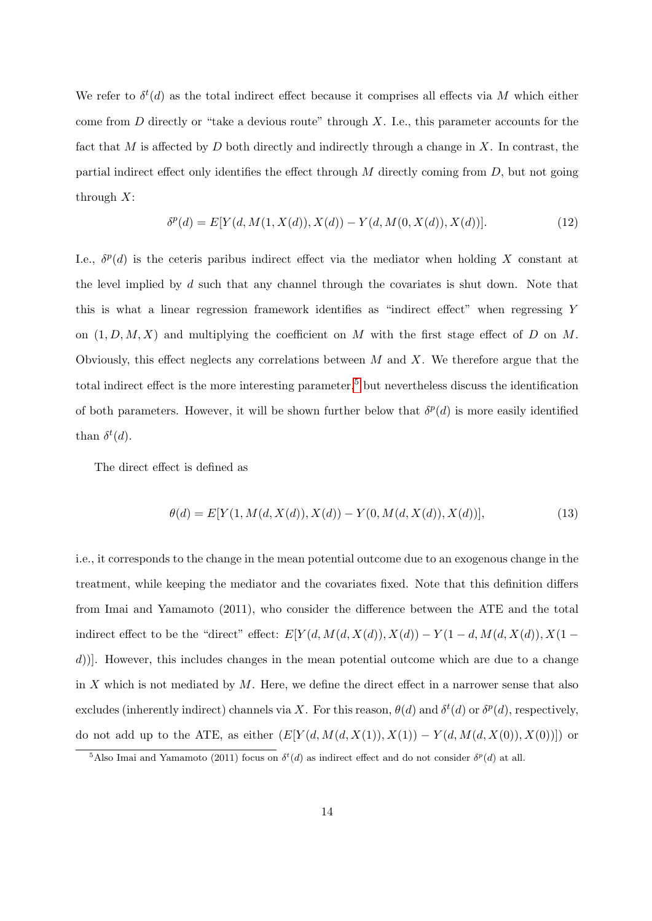We refer to  $\delta^t(d)$  as the total indirect effect because it comprises all effects via M which either come from  $D$  directly or "take a devious route" through  $X$ . I.e., this parameter accounts for the fact that M is affected by D both directly and indirectly through a change in X. In contrast, the partial indirect effect only identifies the effect through  $M$  directly coming from  $D$ , but not going through  $X$ :

<span id="page-13-0"></span>
$$
\delta^{p}(d) = E[Y(d, M(1, X(d)), X(d)) - Y(d, M(0, X(d)), X(d))].
$$
\n(12)

I.e.,  $\delta^p(d)$  is the ceteris paribus indirect effect via the mediator when holding X constant at the level implied by  $d$  such that any channel through the covariates is shut down. Note that this is what a linear regression framework identifies as "indirect effect" when regressing Y on  $(1, D, M, X)$  and multiplying the coefficient on M with the first stage effect of D on M. Obviously, this effect neglects any correlations between  $M$  and  $X$ . We therefore argue that the total indirect effect is the more interesting parameter,<sup>[5](#page-0-0)</sup> but nevertheless discuss the identification of both parameters. However, it will be shown further below that  $\delta^p(d)$  is more easily identified than  $\delta^t(d)$ .

The direct effect is defined as

<span id="page-13-1"></span>
$$
\theta(d) = E[Y(1, M(d, X(d)), X(d)) - Y(0, M(d, X(d)), X(d))],
$$
\n(13)

i.e., it corresponds to the change in the mean potential outcome due to an exogenous change in the treatment, while keeping the mediator and the covariates fixed. Note that this definition differs from Imai and Yamamoto (2011), who consider the difference between the ATE and the total indirect effect to be the "direct" effect:  $E[Y(d, M(d, X(d)), X(d)) - Y(1 - d, M(d, X(d)), X(1 - d))]$ d)]. However, this includes changes in the mean potential outcome which are due to a change in X which is not mediated by  $M$ . Here, we define the direct effect in a narrower sense that also excludes (inherently indirect) channels via X. For this reason,  $\theta(d)$  and  $\delta^t(d)$  or  $\delta^p(d)$ , respectively, do not add up to the ATE, as either  $(E[Y(d, M(d, X(1)), X(1)) - Y(d, M(d, X(0)), X(0))])$  or

<sup>&</sup>lt;sup>5</sup>Also Imai and Yamamoto (2011) focus on  $\delta^t(d)$  as indirect effect and do not consider  $\delta^p(d)$  at all.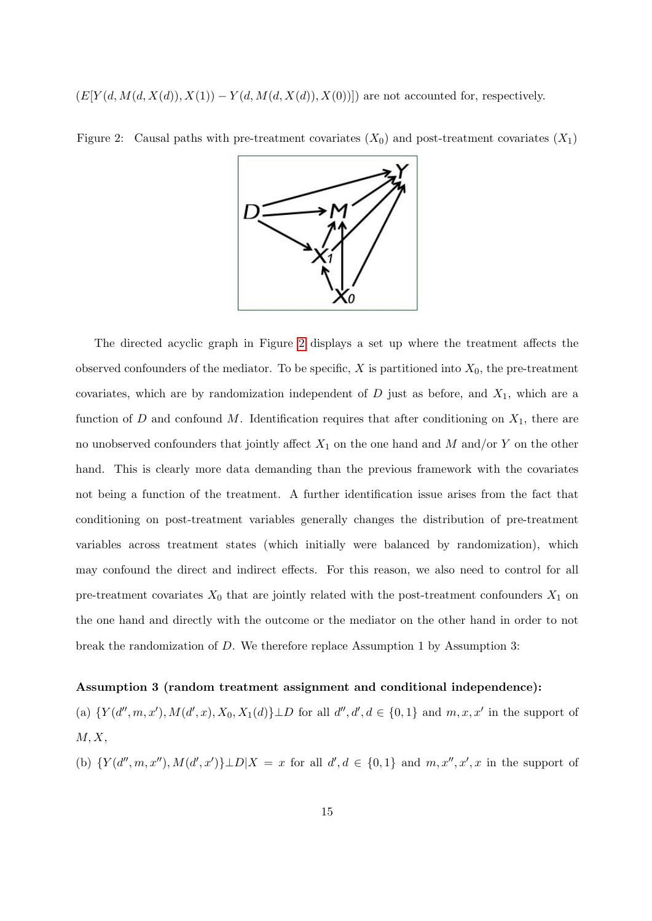$(E[Y(d, M(d, X(d)), X(1)) - Y(d, M(d, X(d)), X(0))])$  are not accounted for, respectively.



<span id="page-14-0"></span>Figure 2: Causal paths with pre-treatment covariates  $(X_0)$  and post-treatment covariates  $(X_1)$ 

The directed acyclic graph in Figure [2](#page-14-0) displays a set up where the treatment affects the observed confounders of the mediator. To be specific,  $X$  is partitioned into  $X_0$ , the pre-treatment covariates, which are by randomization independent of  $D$  just as before, and  $X_1$ , which are a function of D and confound M. Identification requires that after conditioning on  $X_1$ , there are no unobserved confounders that jointly affect  $X_1$  on the one hand and M and/or Y on the other hand. This is clearly more data demanding than the previous framework with the covariates not being a function of the treatment. A further identification issue arises from the fact that conditioning on post-treatment variables generally changes the distribution of pre-treatment variables across treatment states (which initially were balanced by randomization), which may confound the direct and indirect effects. For this reason, we also need to control for all pre-treatment covariates  $X_0$  that are jointly related with the post-treatment confounders  $X_1$  on the one hand and directly with the outcome or the mediator on the other hand in order to not break the randomization of D. We therefore replace Assumption 1 by Assumption 3:

#### Assumption 3 (random treatment assignment and conditional independence):

(a)  $\{Y(d'',m,x'), M(d',x), X_0, X_1(d)\} \perp D$  for all  $d'', d', d \in \{0,1\}$  and  $m, x, x'$  in the support of  $M, X,$ 

(b)  $\{Y(d'',m,x''), M(d',x')\} \perp D|X = x$  for all  $d', d \in \{0,1\}$  and  $m, x'', x', x$  in the support of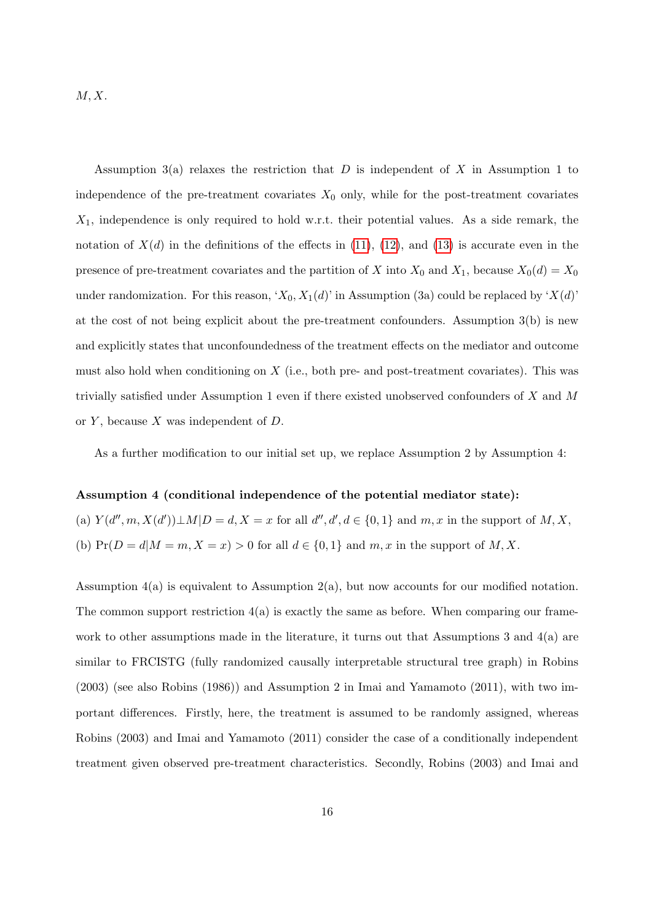$M, X$ .

Assumption 3(a) relaxes the restriction that  $D$  is independent of  $X$  in Assumption 1 to independence of the pre-treatment covariates  $X_0$  only, while for the post-treatment covariates  $X_1$ , independence is only required to hold w.r.t. their potential values. As a side remark, the notation of  $X(d)$  in the definitions of the effects in [\(11\)](#page-12-0), [\(12\)](#page-13-0), and [\(13\)](#page-13-1) is accurate even in the presence of pre-treatment covariates and the partition of X into  $X_0$  and  $X_1$ , because  $X_0(d) = X_0$ under randomization. For this reason, ' $X_0$ ,  $X_1(d)$ ' in Assumption (3a) could be replaced by ' $X(d)$ ' at the cost of not being explicit about the pre-treatment confounders. Assumption 3(b) is new and explicitly states that unconfoundedness of the treatment effects on the mediator and outcome must also hold when conditioning on  $X$  (i.e., both pre- and post-treatment covariates). This was trivially satisfied under Assumption 1 even if there existed unobserved confounders of X and M or  $Y$ , because  $X$  was independent of  $D$ .

As a further modification to our initial set up, we replace Assumption 2 by Assumption 4:

#### Assumption 4 (conditional independence of the potential mediator state):

(a)  $Y(d'', m, X(d')) \perp M|D = d, X = x$  for all  $d'', d', d \in \{0, 1\}$  and  $m, x$  in the support of  $M, X$ , (b)  $Pr(D = d|M = m, X = x) > 0$  for all  $d \in \{0, 1\}$  and  $m, x$  in the support of  $M, X$ .

Assumption 4(a) is equivalent to Assumption 2(a), but now accounts for our modified notation. The common support restriction  $4(a)$  is exactly the same as before. When comparing our framework to other assumptions made in the literature, it turns out that Assumptions 3 and 4(a) are similar to FRCISTG (fully randomized causally interpretable structural tree graph) in Robins (2003) (see also Robins (1986)) and Assumption 2 in Imai and Yamamoto (2011), with two important differences. Firstly, here, the treatment is assumed to be randomly assigned, whereas Robins (2003) and Imai and Yamamoto (2011) consider the case of a conditionally independent treatment given observed pre-treatment characteristics. Secondly, Robins (2003) and Imai and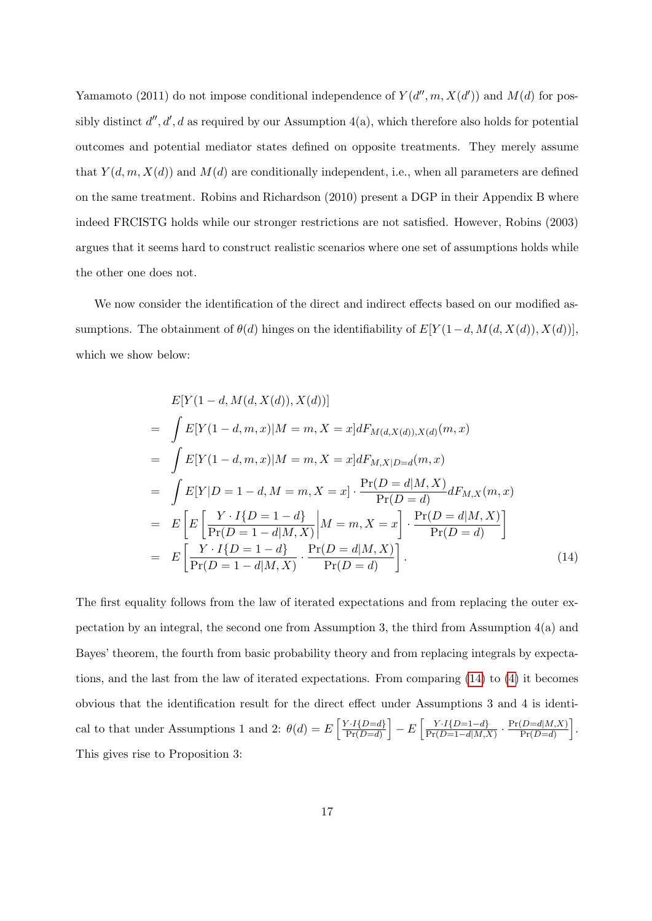Yamamoto (2011) do not impose conditional independence of  $Y(d'', m, X(d'))$  and  $M(d)$  for possibly distinct  $d'', d', d$  as required by our Assumption 4(a), which therefore also holds for potential outcomes and potential mediator states defined on opposite treatments. They merely assume that  $Y(d, m, X(d))$  and  $M(d)$  are conditionally independent, i.e., when all parameters are defined on the same treatment. Robins and Richardson (2010) present a DGP in their Appendix B where indeed FRCISTG holds while our stronger restrictions are not satisfied. However, Robins (2003) argues that it seems hard to construct realistic scenarios where one set of assumptions holds while the other one does not.

We now consider the identification of the direct and indirect effects based on our modified assumptions. The obtainment of  $\theta(d)$  hinges on the identifiability of  $E[Y(1-d, M(d, X(d)), X(d))]$ , which we show below:

<span id="page-16-0"></span>
$$
E[Y(1 - d, M(d, X(d)), X(d))]
$$
  
=  $\int E[Y(1 - d, m, x)|M = m, X = x]dF_{M(d, X(d)), X(d)}(m, x)$   
=  $\int E[Y(1 - d, m, x)|M = m, X = x]dF_{M, X|D=d}(m, x)$   
=  $\int E[Y|D = 1 - d, M = m, X = x] \cdot \frac{\Pr(D = d|M, X)}{\Pr(D = d)} dF_{M, X}(m, x)$   
=  $E\left[E\left[\frac{Y \cdot I\{D = 1 - d\}}{\Pr(D = 1 - d|M, X)}\middle|M = m, X = x\right] \cdot \frac{\Pr(D = d|M, X)}{\Pr(D = d)}\right]$   
=  $E\left[\frac{Y \cdot I\{D = 1 - d\}}{\Pr(D = 1 - d|M, X)} \cdot \frac{\Pr(D = d|M, X)}{\Pr(D = d)}\right].$  (14)

The first equality follows from the law of iterated expectations and from replacing the outer expectation by an integral, the second one from Assumption 3, the third from Assumption 4(a) and Bayes' theorem, the fourth from basic probability theory and from replacing integrals by expectations, and the last from the law of iterated expectations. From comparing [\(14\)](#page-16-0) to [\(4\)](#page-9-0) it becomes obvious that the identification result for the direct effect under Assumptions 3 and 4 is identical to that under Assumptions 1 and 2:  $\theta(d) = E\left[\frac{Y \cdot I(D=d)}{P_Y(D=d)}\right]$  $\left[\frac{Y \cdot I\{D=d\}}{\Pr(D=d)}\right] - E\left[\frac{Y \cdot I\{D=1-d\}}{\Pr(D=1-d|M)}\right]$  $\frac{Y \cdot I\{D=1-d\}}{\Pr(D=1-d|M,X)} \cdot \frac{\Pr(D=d|M,X)}{\Pr(D=d)}$  $\frac{(D=d|M,X)}{\Pr(D=d)}$ . This gives rise to Proposition 3: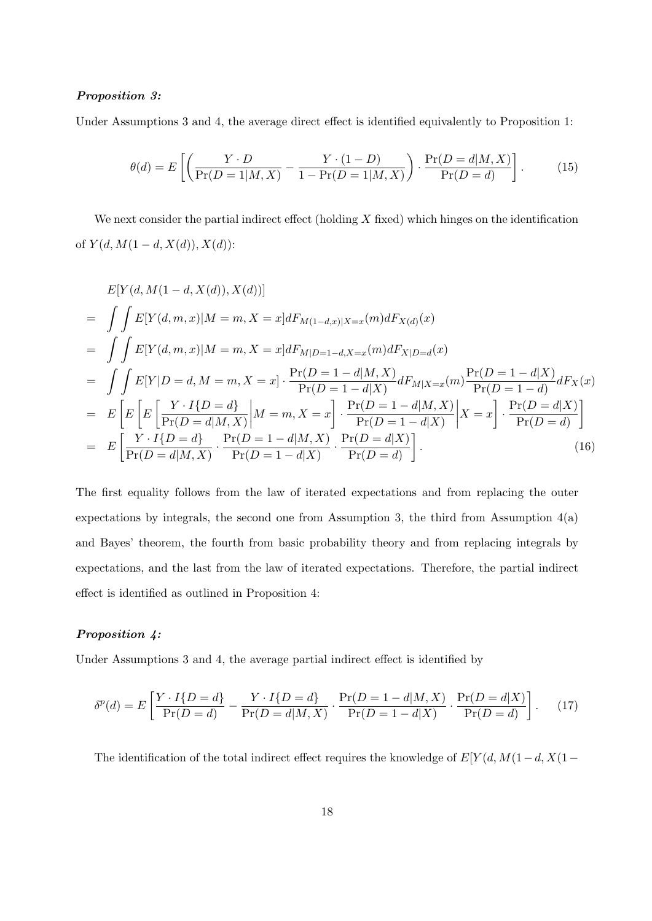#### Proposition 3:

Under Assumptions 3 and 4, the average direct effect is identified equivalently to Proposition 1:

$$
\theta(d) = E\left[\left(\frac{Y \cdot D}{\Pr(D=1|M,X)} - \frac{Y \cdot (1-D)}{1 - \Pr(D=1|M,X)}\right) \cdot \frac{\Pr(D=d|M,X)}{\Pr(D=d)}\right].\tag{15}
$$

We next consider the partial indirect effect (holding  $X$  fixed) which hinges on the identification of  $Y(d, M(1-d, X(d)), X(d))$ :

$$
E[Y(d, M(1 - d, X(d)), X(d))]
$$
\n
$$
= \int \int E[Y(d, m, x)|M = m, X = x]dF_{M(1 - d, x)|X = x}(m)dF_{X(d)}(x)
$$
\n
$$
= \int \int E[Y(d, m, x)|M = m, X = x]dF_{M|D=1-d, X=x}(m)dF_{X|D=d}(x)
$$
\n
$$
= \int \int E[Y|D = d, M = m, X = x] \cdot \frac{\Pr(D = 1 - d|M, X)}{\Pr(D = 1 - d|X)} dF_{M|X=x}(m) \frac{\Pr(D = 1 - d|X)}{\Pr(D = 1 - d)} dF_{X}(x)
$$
\n
$$
= E\left[E\left[E\left[\frac{Y \cdot I\{D = d\}}{\Pr(D = d|M, X)}\middle|M = m, X = x\right]\right] \cdot \frac{\Pr(D = 1 - d|M, X)}{\Pr(D = 1 - d|X)}\middle|X = x\right] \cdot \frac{\Pr(D = d|X)}{\Pr(D = d)}\right]
$$
\n
$$
= E\left[\frac{Y \cdot I\{D = d\}}{\Pr(D = d|M, X)} \cdot \frac{\Pr(D = 1 - d|M, X)}{\Pr(D = 1 - d|X)} \cdot \frac{\Pr(D = d|X)}{\Pr(D = d)}\right].
$$
\n(16)

The first equality follows from the law of iterated expectations and from replacing the outer expectations by integrals, the second one from Assumption 3, the third from Assumption  $4(a)$ and Bayes' theorem, the fourth from basic probability theory and from replacing integrals by expectations, and the last from the law of iterated expectations. Therefore, the partial indirect effect is identified as outlined in Proposition 4:

#### Proposition 4:

Under Assumptions 3 and 4, the average partial indirect effect is identified by

$$
\delta^{p}(d) = E\left[\frac{Y \cdot I\{D=d\}}{\Pr(D=d)} - \frac{Y \cdot I\{D=d\}}{\Pr(D=d|M,X)} \cdot \frac{\Pr(D=1-d|M,X)}{\Pr(D=1-d|X)} \cdot \frac{\Pr(D=d|X)}{\Pr(D=d)}\right].
$$
 (17)

The identification of the total indirect effect requires the knowledge of E[Y (d, M(1−d, X(1−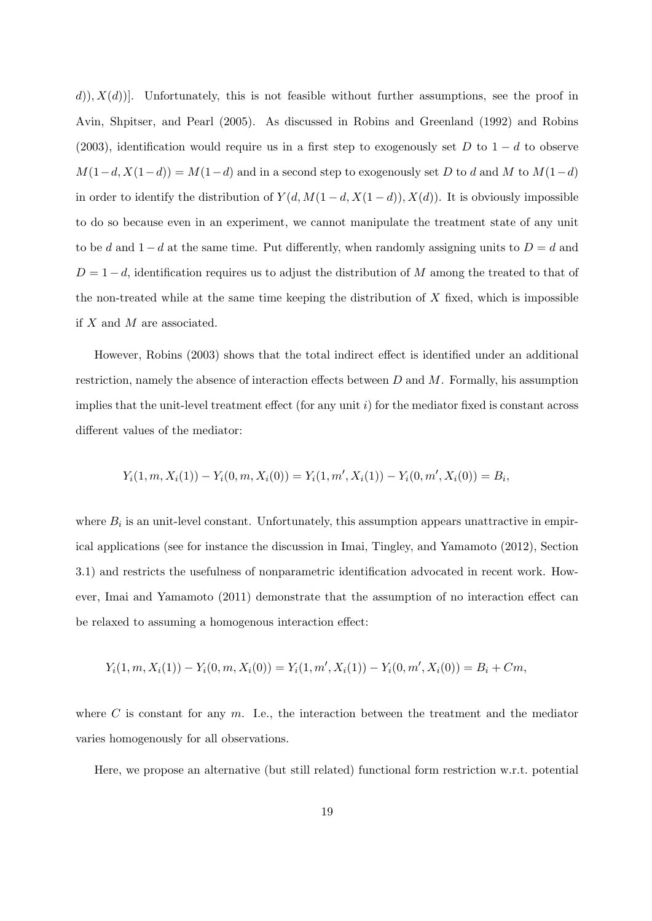$(d)$ ,  $X(d)$ ]. Unfortunately, this is not feasible without further assumptions, see the proof in Avin, Shpitser, and Pearl (2005). As discussed in Robins and Greenland (1992) and Robins (2003), identification would require us in a first step to exogenously set D to  $1-d$  to observe  $M(1-d, X(1-d)) = M(1-d)$  and in a second step to exogenously set D to d and M to  $M(1-d)$ in order to identify the distribution of  $Y(d, M(1-d, X(1-d)), X(d))$ . It is obviously impossible to do so because even in an experiment, we cannot manipulate the treatment state of any unit to be d and  $1-d$  at the same time. Put differently, when randomly assigning units to  $D=d$  and  $D = 1 - d$ , identification requires us to adjust the distribution of M among the treated to that of the non-treated while at the same time keeping the distribution of  $X$  fixed, which is impossible if  $X$  and  $M$  are associated.

However, Robins (2003) shows that the total indirect effect is identified under an additional restriction, namely the absence of interaction effects between  $D$  and  $M$ . Formally, his assumption implies that the unit-level treatment effect (for any unit  $i$ ) for the mediator fixed is constant across different values of the mediator:

$$
Y_i(1,m,X_i(1)) - Y_i(0,m,X_i(0)) = Y_i(1,m',X_i(1)) - Y_i(0,m',X_i(0)) = B_i,
$$

where  $B_i$  is an unit-level constant. Unfortunately, this assumption appears unattractive in empirical applications (see for instance the discussion in Imai, Tingley, and Yamamoto (2012), Section 3.1) and restricts the usefulness of nonparametric identification advocated in recent work. However, Imai and Yamamoto (2011) demonstrate that the assumption of no interaction effect can be relaxed to assuming a homogenous interaction effect:

$$
Y_i(1,m,X_i(1)) - Y_i(0,m,X_i(0)) = Y_i(1,m',X_i(1)) - Y_i(0,m',X_i(0)) = B_i + Cm,
$$

where  $C$  is constant for any  $m$ . I.e., the interaction between the treatment and the mediator varies homogenously for all observations.

Here, we propose an alternative (but still related) functional form restriction w.r.t. potential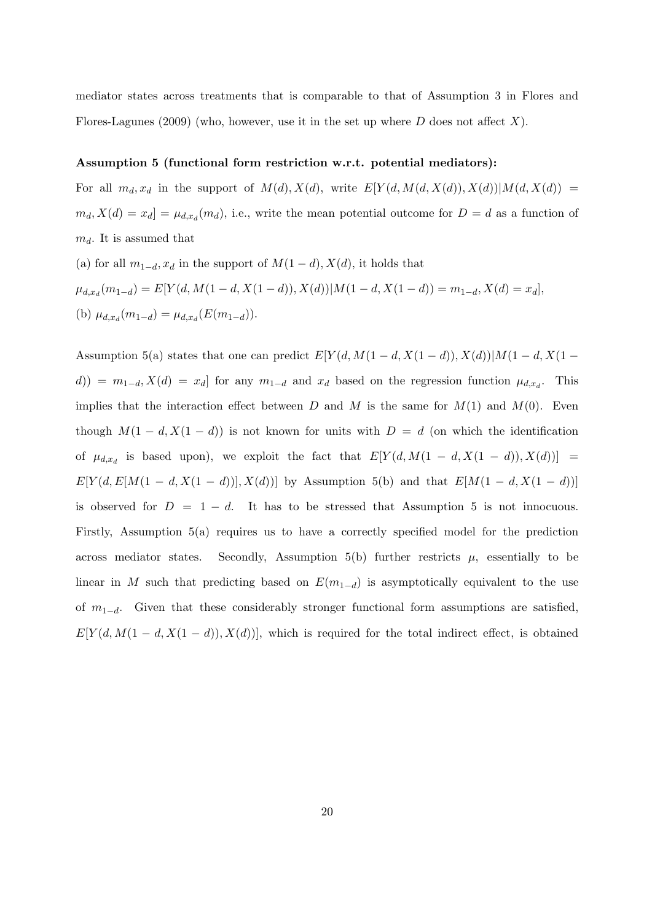mediator states across treatments that is comparable to that of Assumption 3 in Flores and Flores-Lagunes (2009) (who, however, use it in the set up where  $D$  does not affect  $X$ ).

#### Assumption 5 (functional form restriction w.r.t. potential mediators):

For all  $m_d, x_d$  in the support of  $M(d), X(d)$ , write  $E[Y(d, M(d, X(d)), X(d))|M(d, X(d)) =$  $m_d, X(d) = x_d$  =  $\mu_{d,x_d}(m_d)$ , i.e., write the mean potential outcome for  $D = d$  as a function of  $m_d$ . It is assumed that

(a) for all  $m_{1-d}$ ,  $x_d$  in the support of  $M(1-d)$ ,  $X(d)$ , it holds that  $\mu_{d,x_d}(m_{1-d}) = E[Y(d, M(1-d, X(1-d)), X(d))|M(1-d, X(1-d)) = m_{1-d}, X(d) = x_d],$ (b)  $\mu_{d,x_d}(m_{1-d}) = \mu_{d,x_d}(E(m_{1-d})).$ 

Assumption 5(a) states that one can predict  $E[Y(d, M(1-d, X(1-d)), X(d))]M(1-d, X(1-d))$  $d() = m_{1-d}, X(d) = x_d$  for any  $m_{1-d}$  and  $x_d$  based on the regression function  $\mu_{d,x_d}$ . This implies that the interaction effect between D and M is the same for  $M(1)$  and  $M(0)$ . Even though  $M(1 - d, X(1 - d))$  is not known for units with  $D = d$  (on which the identification of  $\mu_{d,x_d}$  is based upon), we exploit the fact that  $E[Y(d,M(1-d,X(1-d)),X(d))] =$  $E[Y(d, E[M(1 - d, X(1 - d))], X(d))]$  by Assumption 5(b) and that  $E[M(1 - d, X(1 - d))]$ is observed for  $D = 1 - d$ . It has to be stressed that Assumption 5 is not innocuous. Firstly, Assumption 5(a) requires us to have a correctly specified model for the prediction across mediator states. Secondly, Assumption 5(b) further restricts  $\mu$ , essentially to be linear in M such that predicting based on  $E(m_{1-d})$  is asymptotically equivalent to the use of  $m_{1-d}$ . Given that these considerably stronger functional form assumptions are satisfied,  $E[Y(d, M(1-d, X(1-d)), X(d))]$ , which is required for the total indirect effect, is obtained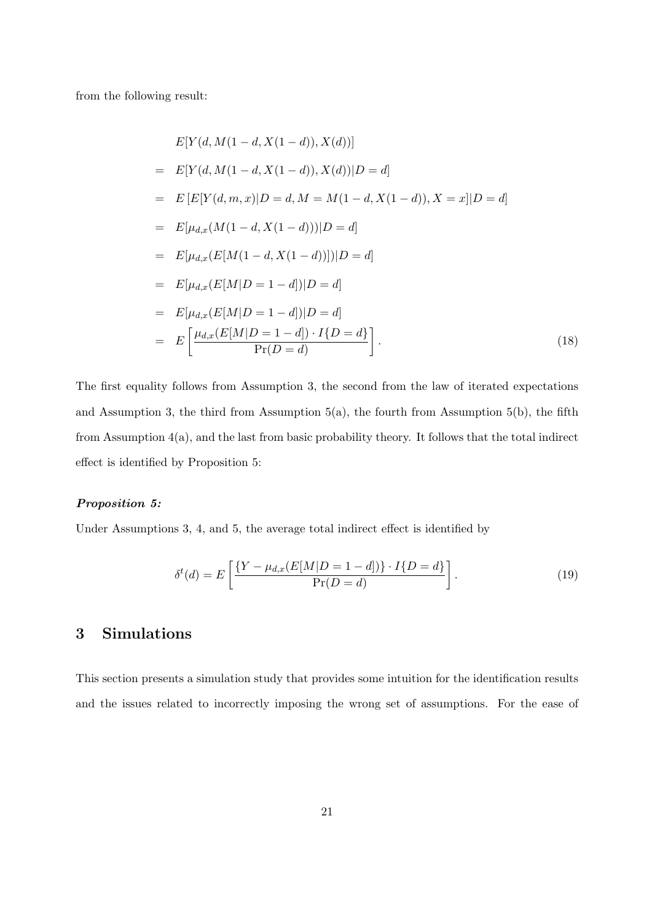from the following result:

$$
E[Y(d, M(1 - d, X(1 - d)), X(d))]
$$
  
=  $E[Y(d, M(1 - d, X(1 - d)), X(d))|D = d]$   
=  $E[E[Y(d, m, x)|D = d, M = M(1 - d, X(1 - d)), X = x]|D = d]$   
=  $E[\mu_{d,x}(M(1 - d, X(1 - d)))|D = d]$   
=  $E[\mu_{d,x}(E[M(1 - d, X(1 - d)))]|D = d]$   
=  $E[\mu_{d,x}(E[M|D = 1 - d])|D = d]$   
=  $E[\mu_{d,x}(E[M|D = 1 - d])|D = d]$   
=  $E\left[\frac{\mu_{d,x}(E[M|D = 1 - d]) \cdot I\{D = d\}}{\Pr(D = d)}\right].$  (18)

The first equality follows from Assumption 3, the second from the law of iterated expectations and Assumption 3, the third from Assumption  $5(a)$ , the fourth from Assumption  $5(b)$ , the fifth from Assumption 4(a), and the last from basic probability theory. It follows that the total indirect effect is identified by Proposition 5:

#### Proposition 5:

Under Assumptions 3, 4, and 5, the average total indirect effect is identified by

$$
\delta^{t}(d) = E\left[\frac{\{Y - \mu_{d,x}(E[M|D=1-d])\} \cdot I\{D=d\}}{\Pr(D=d)}\right].
$$
\n(19)

# 3 Simulations

This section presents a simulation study that provides some intuition for the identification results and the issues related to incorrectly imposing the wrong set of assumptions. For the ease of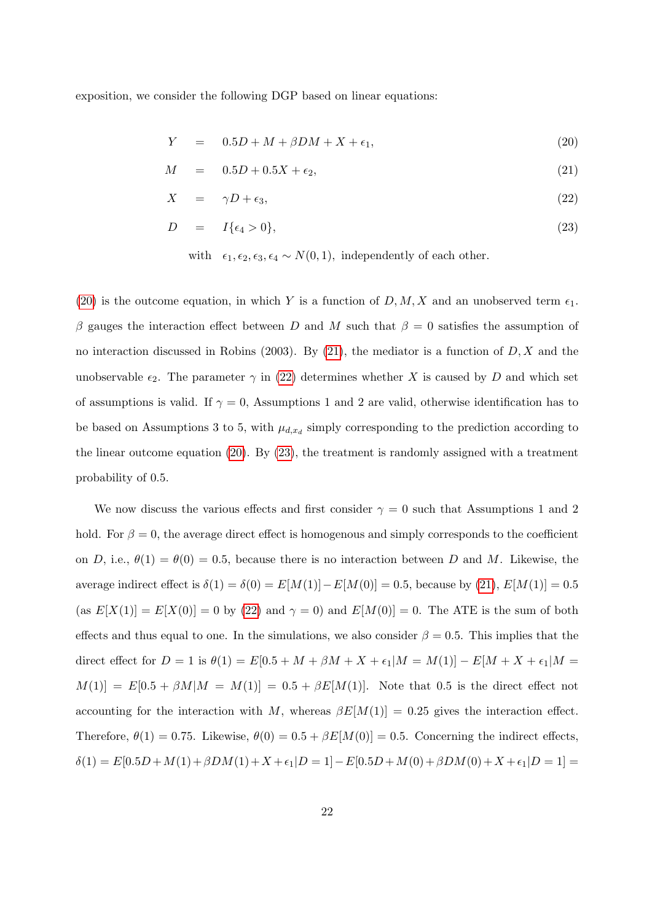exposition, we consider the following DGP based on linear equations:

<span id="page-21-0"></span>
$$
Y = 0.5D + M + \beta DM + X + \epsilon_1, \tag{20}
$$

$$
M = 0.5D + 0.5X + \epsilon_2, \tag{21}
$$

$$
X = \gamma D + \epsilon_3,\tag{22}
$$

$$
D = I\{\epsilon_4 > 0\},\tag{23}
$$

[\(20\)](#page-21-0) is the outcome equation, in which Y is a function of  $D, M, X$  and an unobserved term  $\epsilon_1$ . β gauges the interaction effect between D and M such that  $β = 0$  satisfies the assumption of no interaction discussed in Robins (2003). By [\(21\)](#page-21-0), the mediator is a function of  $D, X$  and the unobservable  $\epsilon_2$ . The parameter  $\gamma$  in [\(22\)](#page-21-0) determines whether X is caused by D and which set of assumptions is valid. If  $\gamma = 0$ , Assumptions 1 and 2 are valid, otherwise identification has to be based on Assumptions 3 to 5, with  $\mu_{d,x_d}$  simply corresponding to the prediction according to the linear outcome equation [\(20\)](#page-21-0). By [\(23\)](#page-21-0), the treatment is randomly assigned with a treatment probability of 0.5.

We now discuss the various effects and first consider  $\gamma = 0$  such that Assumptions 1 and 2 hold. For  $\beta = 0$ , the average direct effect is homogenous and simply corresponds to the coefficient on D, i.e.,  $\theta(1) = \theta(0) = 0.5$ , because there is no interaction between D and M. Likewise, the average indirect effect is  $\delta(1) = \delta(0) = E[M(1)] - E[M(0)] = 0.5$ , because by  $(21)$ ,  $E[M(1)] = 0.5$ (as  $E[X(1)] = E[X(0)] = 0$  by [\(22\)](#page-21-0) and  $\gamma = 0$ ) and  $E[M(0)] = 0$ . The ATE is the sum of both effects and thus equal to one. In the simulations, we also consider  $\beta = 0.5$ . This implies that the direct effect for  $D = 1$  is  $\theta(1) = E[0.5 + M + \beta M + X + \epsilon_1|M = M(1)] - E[M + X + \epsilon_1|M =$  $M(1)$ ] =  $E[0.5 + \beta M|M = M(1)] = 0.5 + \beta E[M(1)]$ . Note that 0.5 is the direct effect not accounting for the interaction with M, whereas  $\beta E[M(1)] = 0.25$  gives the interaction effect. Therefore,  $\theta(1) = 0.75$ . Likewise,  $\theta(0) = 0.5 + \beta E[M(0)] = 0.5$ . Concerning the indirect effects,  $\delta(1) = E[0.5D + M(1) + \beta DM(1) + X + \epsilon_1]D = 1] - E[0.5D + M(0) + \beta DM(0) + X + \epsilon_1]D = 1] =$ 

with  $\epsilon_1, \epsilon_2, \epsilon_3, \epsilon_4 \sim N(0, 1)$ , independently of each other.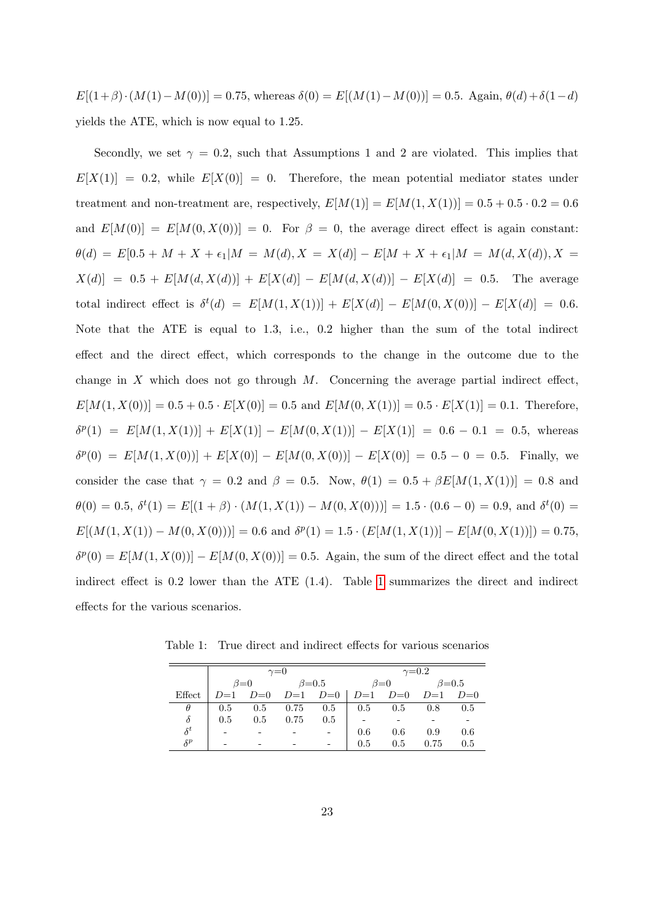$E[(1+\beta)\cdot(M(1)-M(0))] = 0.75$ , whereas  $\delta(0) = E[(M(1)-M(0))] = 0.5$ . Again,  $\theta(d)+\delta(1-d)$ yields the ATE, which is now equal to 1.25.

Secondly, we set  $\gamma = 0.2$ , such that Assumptions 1 and 2 are violated. This implies that  $E[X(1)] = 0.2$ , while  $E[X(0)] = 0$ . Therefore, the mean potential mediator states under treatment and non-treatment are, respectively,  $E[M(1)] = E[M(1, X(1))] = 0.5 + 0.5 \cdot 0.2 = 0.6$ and  $E[M(0)] = E[M(0, X(0))] = 0$ . For  $\beta = 0$ , the average direct effect is again constant:  $\theta(d) = E[0.5 + M + X + \epsilon_1|M = M(d), X = X(d)] - E[M + X + \epsilon_1|M = M(d, X(d)), X =$  $X(d)$ ] = 0.5 +  $E[M(d, X(d))] + E[X(d)] - E[M(d, X(d))] - E[X(d)] = 0.5$ . The average total indirect effect is  $\delta^t(d) = E[M(1, X(1))] + E[X(d)] - E[M(0, X(0))] - E[X(d)] = 0.6$ . Note that the ATE is equal to 1.3, i.e., 0.2 higher than the sum of the total indirect effect and the direct effect, which corresponds to the change in the outcome due to the change in  $X$  which does not go through  $M$ . Concerning the average partial indirect effect,  $E[M(1, X(0))] = 0.5 + 0.5 \cdot E[X(0)] = 0.5$  and  $E[M(0, X(1))] = 0.5 \cdot E[X(1)] = 0.1$ . Therefore,  $\delta^{p}(1) = E[M(1, X(1))] + E[X(1)] - E[M(0, X(1))] - E[X(1)] = 0.6 - 0.1 = 0.5$ , whereas  $\delta^{p}(0) = E[M(1, X(0))] + E[X(0)] - E[M(0, X(0))] - E[X(0)] = 0.5 - 0 = 0.5$ . Finally, we consider the case that  $\gamma = 0.2$  and  $\beta = 0.5$ . Now,  $\theta(1) = 0.5 + \beta E[M(1, X(1))] = 0.8$  and  $\theta(0) = 0.5, \ \delta^t(1) = E[(1+\beta) \cdot (M(1, X(1)) - M(0, X(0))] = 1.5 \cdot (0.6 - 0) = 0.9$ , and  $\delta^t(0) =$  $E[(M(1, X(1)) - M(0, X(0)))] = 0.6$  and  $\delta^{p}(1) = 1.5 \cdot (E[M(1, X(1))] - E[M(0, X(1))]) = 0.75$ ,  $\delta^{p}(0) = E[M(1, X(0))] - E[M(0, X(0))] = 0.5$ . Again, the sum of the direct effect and the total indirect effect is 0.2 lower than the ATE (1.4). Table [1](#page-22-0) summarizes the direct and indirect effects for the various scenarios.

<span id="page-22-0"></span>Table 1: True direct and indirect effects for various scenarios

|            |             |     | $\gamma = 0$  |                                                 | $\gamma = 0.2$  |         |               |     |  |  |  |
|------------|-------------|-----|---------------|-------------------------------------------------|-----------------|---------|---------------|-----|--|--|--|
|            | $\beta = 0$ |     | $\beta = 0.5$ |                                                 | $\beta = 0$     |         | $\beta = 0.5$ |     |  |  |  |
| Effect     |             |     |               | $D=1$ $D=0$ $D=1$ $D=0$ $D=1$ $D=0$ $D=1$ $D=0$ |                 |         |               |     |  |  |  |
| $\theta$   | 0.5         |     | $0.5$ 0.75    | 0.5                                             | $\parallel$ 0.5 | 0.5     | 0.8           | 0.5 |  |  |  |
| $\delta$   | 0.5         | 0.5 | 0.75          | 0.5                                             |                 |         |               |     |  |  |  |
| $\delta^t$ |             |     |               |                                                 | $0.6\,$         | $0.6\,$ | 0.9           | 0.6 |  |  |  |
| $\delta^p$ |             |     |               |                                                 | 0.5             | 0.5     | 0.75          | 0.5 |  |  |  |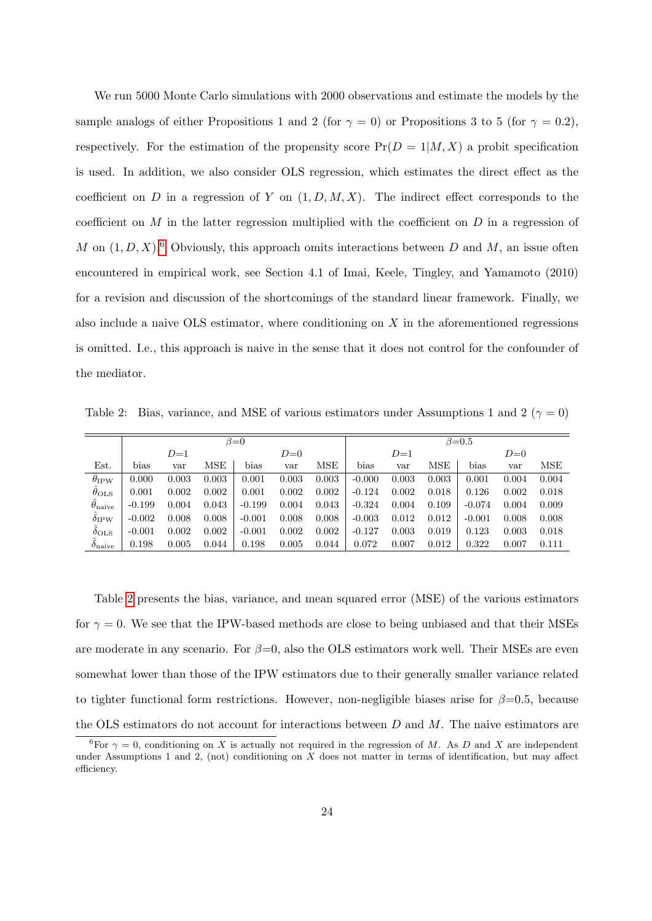We run 5000 Monte Carlo simulations with 2000 observations and estimate the models by the sample analogs of either Propositions 1 and 2 (for  $\gamma = 0$ ) or Propositions 3 to 5 (for  $\gamma = 0.2$ ), respectively. For the estimation of the propensity score  $Pr(D = 1|M, X)$  a probit specification is used. In addition, we also consider OLS regression, which estimates the direct effect as the coefficient on D in a regression of Y on  $(1, D, M, X)$ . The indirect effect corresponds to the coefficient on  $M$  in the latter regression multiplied with the coefficient on  $D$  in a regression of M on  $(1, D, X)$ .<sup>[6](#page-0-0)</sup> Obviously, this approach omits interactions between D and M, an issue often encountered in empirical work, see Section 4.1 of Imai, Keele, Tingley, and Yamamoto (2010) for a revision and discussion of the shortcomings of the standard linear framework. Finally, we also include a naive OLS estimator, where conditioning on  $X$  in the aforementioned regressions is omitted. I.e., this approach is naive in the sense that it does not control for the confounder of the mediator.

<span id="page-23-0"></span>Table 2: Bias, variance, and MSE of various estimators under Assumptions 1 and 2 ( $\gamma = 0$ )

|                         | $\beta = 0$ |       |            |          |       |       | $\beta = 0.5$ |       |       |          |       |       |  |
|-------------------------|-------------|-------|------------|----------|-------|-------|---------------|-------|-------|----------|-------|-------|--|
|                         |             | $D=1$ |            |          | $D=0$ |       |               | $D=1$ |       |          | $D=0$ |       |  |
| Est.                    | bias        | var   | <b>MSE</b> | bias     | var   | MSE   | bias          | var   | MSE   | bias     | var   | MSE   |  |
| $\theta_{IPW}$          | 0.000       | 0.003 | 0.003      | 0.001    | 0.003 | 0.003 | $-0.000$      | 0.003 | 0.003 | 0.001    | 0.004 | 0.004 |  |
| $\theta_{\rm OLS}$      | 0.001       | 0.002 | 0.002      | 0.001    | 0.002 | 0.002 | $-0.124$      | 0.002 | 0.018 | 0.126    | 0.002 | 0.018 |  |
| $\theta_{\rm naive}$    | $-0.199$    | 0.004 | 0.043      | $-0.199$ | 0.004 | 0.043 | $-0.324$      | 0.004 | 0.109 | $-0.074$ | 0.004 | 0.009 |  |
| $\delta$ <sub>IPW</sub> | $-0.002$    | 0.008 | 0.008      | $-0.001$ | 0.008 | 0.008 | $-0.003$      | 0.012 | 0.012 | $-0.001$ | 0.008 | 0.008 |  |
| $\delta_{\text{OLS}}$   | $-0.001$    | 0.002 | 0.002      | $-0.001$ | 0.002 | 0.002 | $-0.127$      | 0.003 | 0.019 | 0.123    | 0.003 | 0.018 |  |
| $\delta_{\rm naive}$    | 0.198       | 0.005 | 0.044      | 0.198    | 0.005 | 0.044 | 0.072         | 0.007 | 0.012 | 0.322    | 0.007 | 0.111 |  |

Table [2](#page-23-0) presents the bias, variance, and mean squared error (MSE) of the various estimators for  $\gamma = 0$ . We see that the IPW-based methods are close to being unbiased and that their MSEs are moderate in any scenario. For  $\beta=0$ , also the OLS estimators work well. Their MSEs are even somewhat lower than those of the IPW estimators due to their generally smaller variance related to tighter functional form restrictions. However, non-negligible biases arise for  $\beta=0.5$ , because the OLS estimators do not account for interactions between  $D$  and  $M$ . The naive estimators are

<sup>&</sup>lt;sup>6</sup>For  $\gamma = 0$ , conditioning on X is actually not required in the regression of M. As D and X are independent under Assumptions 1 and 2, (not) conditioning on  $X$  does not matter in terms of identification, but may affect efficiency.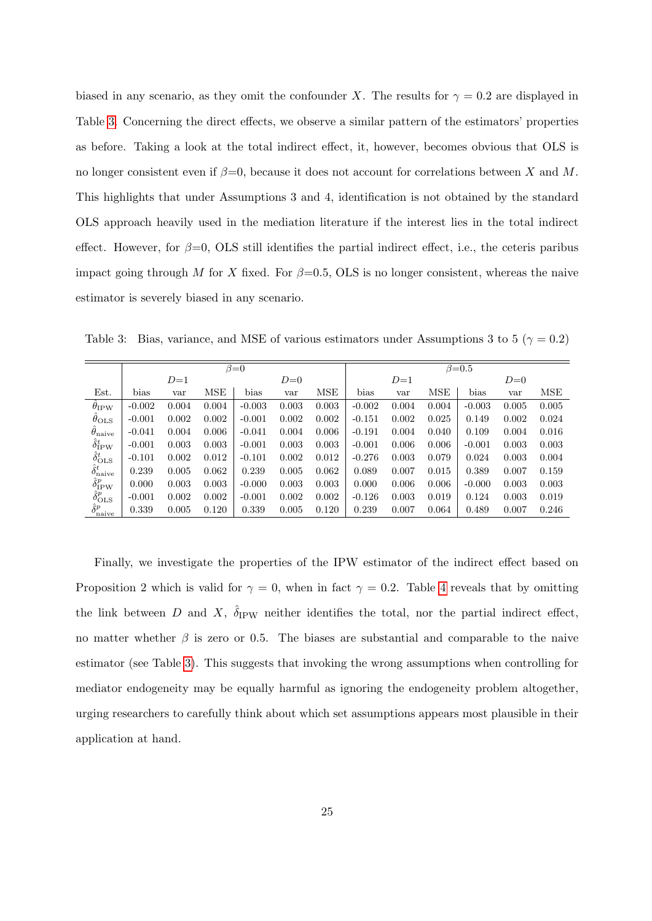biased in any scenario, as they omit the confounder X. The results for  $\gamma = 0.2$  are displayed in Table [3.](#page-24-0) Concerning the direct effects, we observe a similar pattern of the estimators' properties as before. Taking a look at the total indirect effect, it, however, becomes obvious that OLS is no longer consistent even if  $\beta = 0$ , because it does not account for correlations between X and M. This highlights that under Assumptions 3 and 4, identification is not obtained by the standard OLS approach heavily used in the mediation literature if the interest lies in the total indirect effect. However, for  $\beta=0$ , OLS still identifies the partial indirect effect, i.e., the ceteris paribus impact going through M for X fixed. For  $\beta=0.5$ , OLS is no longer consistent, whereas the naive estimator is severely biased in any scenario.

|                                 | $\beta = 0$ |       |       |          |       |       |          | $\beta = 0.5$ |       |          |       |       |  |  |
|---------------------------------|-------------|-------|-------|----------|-------|-------|----------|---------------|-------|----------|-------|-------|--|--|
|                                 |             | $D=1$ |       |          | $D=0$ |       |          | $D=1$         |       |          | $D=0$ |       |  |  |
| Est.                            | bias        | var   | MSE   | bias     | var   | MSE   | bias     | var           | MSE   | bias     | var   | MSE   |  |  |
| $\theta_{IPW}$                  | $-0.002$    | 0.004 | 0.004 | $-0.003$ | 0.003 | 0.003 | $-0.002$ | 0.004         | 0.004 | $-0.003$ | 0.005 | 0.005 |  |  |
| $\theta_{\rm OLS}$              | $-0.001$    | 0.002 | 0.002 | $-0.001$ | 0.002 | 0.002 | $-0.151$ | 0.002         | 0.025 | 0.149    | 0.002 | 0.024 |  |  |
| $\theta_{\rm naive}$            | $-0.041$    | 0.004 | 0.006 | $-0.041$ | 0.004 | 0.006 | $-0.191$ | 0.004         | 0.040 | 0.109    | 0.004 | 0.016 |  |  |
| $\hat{\delta}_\text{IPW}^t$     | $-0.001$    | 0.003 | 0.003 | $-0.001$ | 0.003 | 0.003 | $-0.001$ | 0.006         | 0.006 | $-0.001$ | 0.003 | 0.003 |  |  |
| $\hat{\delta}_{\text{OLS}}^t$   | $-0.101$    | 0.002 | 0.012 | $-0.101$ | 0.002 | 0.012 | $-0.276$ | 0.003         | 0.079 | 0.024    | 0.003 | 0.004 |  |  |
| $\hat{\delta}_{\rm naive}^t$    | 0.239       | 0.005 | 0.062 | 0.239    | 0.005 | 0.062 | 0.089    | 0.007         | 0.015 | 0.389    | 0.007 | 0.159 |  |  |
| $\hat{\delta}^p_{\mathrm{IPW}}$ | 0.000       | 0.003 | 0.003 | $-0.000$ | 0.003 | 0.003 | 0.000    | 0.006         | 0.006 | $-0.000$ | 0.003 | 0.003 |  |  |
| $\hat{\delta}_{\rm OLS}^{p}$    | $-0.001$    | 0.002 | 0.002 | $-0.001$ | 0.002 | 0.002 | $-0.126$ | 0.003         | 0.019 | 0.124    | 0.003 | 0.019 |  |  |
| $\hat{\delta}^p_{\text{naive}}$ | 0.339       | 0.005 | 0.120 | 0.339    | 0.005 | 0.120 | 0.239    | 0.007         | 0.064 | 0.489    | 0.007 | 0.246 |  |  |

<span id="page-24-0"></span>Table 3: Bias, variance, and MSE of various estimators under Assumptions 3 to 5 ( $\gamma = 0.2$ )

Finally, we investigate the properties of the IPW estimator of the indirect effect based on Proposition 2 which is valid for  $\gamma = 0$ , when in fact  $\gamma = 0.2$ . Table [4](#page-25-1) reveals that by omitting the link between D and X,  $\hat{\delta}_{IPW}$  neither identifies the total, nor the partial indirect effect, no matter whether  $\beta$  is zero or 0.5. The biases are substantial and comparable to the naive estimator (see Table [3\)](#page-24-0). This suggests that invoking the wrong assumptions when controlling for mediator endogeneity may be equally harmful as ignoring the endogeneity problem altogether, urging researchers to carefully think about which set assumptions appears most plausible in their application at hand.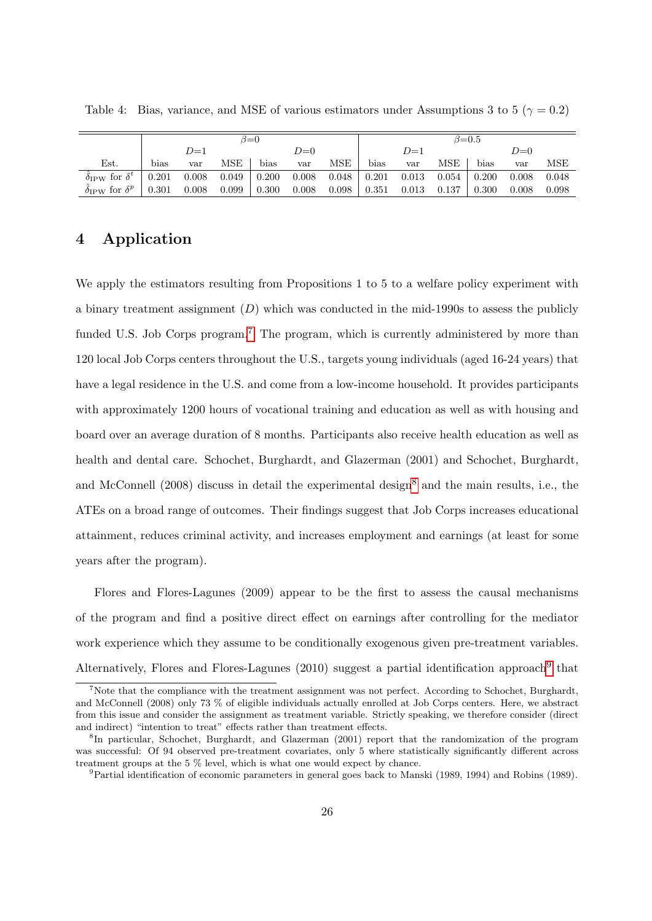|                               | $\beta = 0$ |       |       |               |       |       |       | $\beta$ =0.5 |         |       |       |       |  |
|-------------------------------|-------------|-------|-------|---------------|-------|-------|-------|--------------|---------|-------|-------|-------|--|
|                               | $D=1$       |       |       | $D=0$         |       |       | $D=1$ |              |         | $D=0$ |       |       |  |
| Est.                          | bias        | var   | MSE   | $_{\rm bias}$ | var   | MSE   | bias  | var          | MSE     | bias  | var   | MSE   |  |
| $\delta_{IPW}$ for $\delta^t$ | 0.201       | 0.008 | 0.049 | 0.200         | 0.008 | 0.048 | 0.201 | 0.013        | $0.054$ | 0.200 | 0.008 | 0.048 |  |
| $\delta_{IPW}$ for $\delta^p$ | 0.301       | 0.008 | 0.099 | 0.300         | 0.008 | 0.098 | 0.351 | 0.013        | 0.137   | 0.300 | 0.008 | 0.098 |  |

<span id="page-25-1"></span>Table 4: Bias, variance, and MSE of various estimators under Assumptions 3 to 5 ( $\gamma = 0.2$ )

### <span id="page-25-0"></span>4 Application

We apply the estimators resulting from Propositions 1 to 5 to a welfare policy experiment with a binary treatment assignment  $(D)$  which was conducted in the mid-1990s to assess the publicly funded U.S. Job Corps program.<sup>[7](#page-0-0)</sup> The program, which is currently administered by more than 120 local Job Corps centers throughout the U.S., targets young individuals (aged 16-24 years) that have a legal residence in the U.S. and come from a low-income household. It provides participants with approximately 1200 hours of vocational training and education as well as with housing and board over an average duration of 8 months. Participants also receive health education as well as health and dental care. Schochet, Burghardt, and Glazerman (2001) and Schochet, Burghardt, and McConnell (200[8](#page-0-0)) discuss in detail the experimental design<sup>8</sup> and the main results, i.e., the ATEs on a broad range of outcomes. Their findings suggest that Job Corps increases educational attainment, reduces criminal activity, and increases employment and earnings (at least for some years after the program).

Flores and Flores-Lagunes (2009) appear to be the first to assess the causal mechanisms of the program and find a positive direct effect on earnings after controlling for the mediator work experience which they assume to be conditionally exogenous given pre-treatment variables. Alternatively, Flores and Flores-Lagunes  $(2010)$  suggest a partial identification approach<sup>[9](#page-0-0)</sup> that

<sup>&</sup>lt;sup>7</sup>Note that the compliance with the treatment assignment was not perfect. According to Schochet, Burghardt, and McConnell (2008) only 73 % of eligible individuals actually enrolled at Job Corps centers. Here, we abstract from this issue and consider the assignment as treatment variable. Strictly speaking, we therefore consider (direct and indirect) "intention to treat" effects rather than treatment effects.

<sup>8</sup> In particular, Schochet, Burghardt, and Glazerman (2001) report that the randomization of the program was successful: Of 94 observed pre-treatment covariates, only 5 where statistically significantly different across treatment groups at the 5 % level, which is what one would expect by chance.

<sup>9</sup>Partial identification of economic parameters in general goes back to Manski (1989, 1994) and Robins (1989).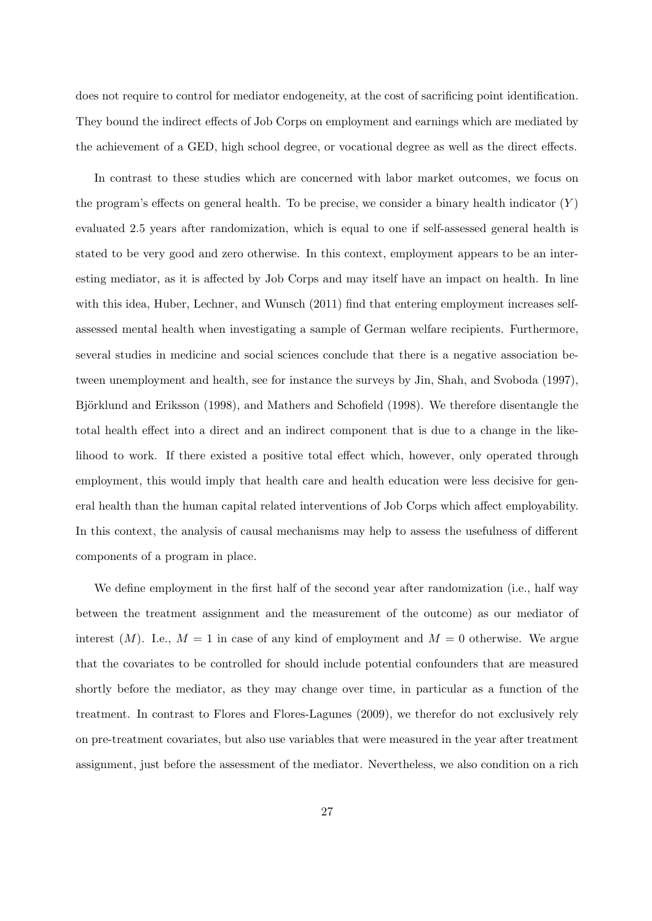does not require to control for mediator endogeneity, at the cost of sacrificing point identification. They bound the indirect effects of Job Corps on employment and earnings which are mediated by the achievement of a GED, high school degree, or vocational degree as well as the direct effects.

In contrast to these studies which are concerned with labor market outcomes, we focus on the program's effects on general health. To be precise, we consider a binary health indicator  $(Y)$ evaluated 2.5 years after randomization, which is equal to one if self-assessed general health is stated to be very good and zero otherwise. In this context, employment appears to be an interesting mediator, as it is affected by Job Corps and may itself have an impact on health. In line with this idea, Huber, Lechner, and Wunsch (2011) find that entering employment increases selfassessed mental health when investigating a sample of German welfare recipients. Furthermore, several studies in medicine and social sciences conclude that there is a negative association between unemployment and health, see for instance the surveys by Jin, Shah, and Svoboda (1997), Björklund and Eriksson (1998), and Mathers and Schofield (1998). We therefore disentangle the total health effect into a direct and an indirect component that is due to a change in the likelihood to work. If there existed a positive total effect which, however, only operated through employment, this would imply that health care and health education were less decisive for general health than the human capital related interventions of Job Corps which affect employability. In this context, the analysis of causal mechanisms may help to assess the usefulness of different components of a program in place.

We define employment in the first half of the second year after randomization (i.e., half way between the treatment assignment and the measurement of the outcome) as our mediator of interest  $(M)$ . I.e.,  $M = 1$  in case of any kind of employment and  $M = 0$  otherwise. We argue that the covariates to be controlled for should include potential confounders that are measured shortly before the mediator, as they may change over time, in particular as a function of the treatment. In contrast to Flores and Flores-Lagunes (2009), we therefor do not exclusively rely on pre-treatment covariates, but also use variables that were measured in the year after treatment assignment, just before the assessment of the mediator. Nevertheless, we also condition on a rich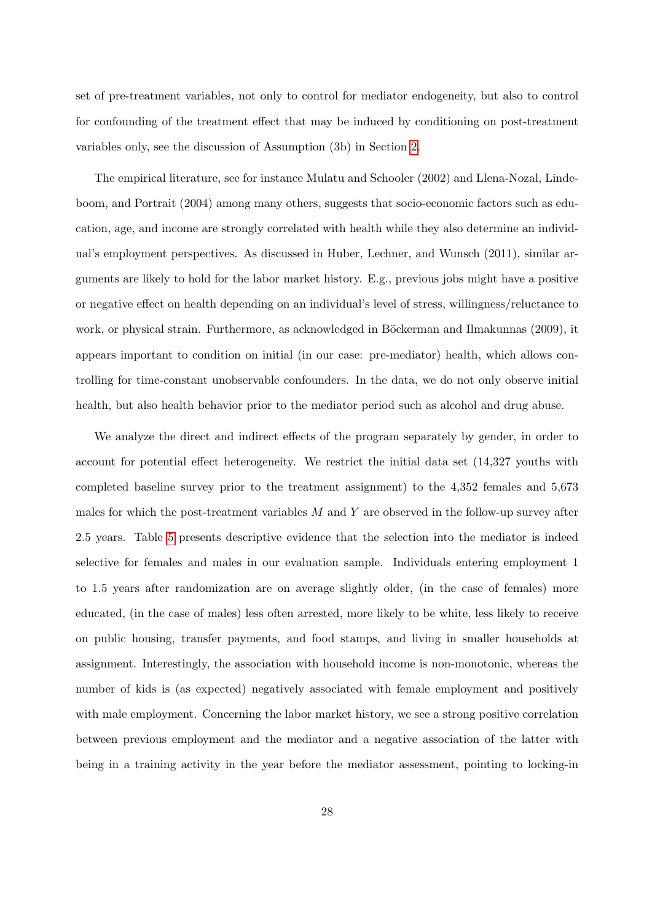set of pre-treatment variables, not only to control for mediator endogeneity, but also to control for confounding of the treatment effect that may be induced by conditioning on post-treatment variables only, see the discussion of Assumption (3b) in Section [2.](#page-4-0)

The empirical literature, see for instance Mulatu and Schooler (2002) and Llena-Nozal, Lindeboom, and Portrait (2004) among many others, suggests that socio-economic factors such as education, age, and income are strongly correlated with health while they also determine an individual's employment perspectives. As discussed in Huber, Lechner, and Wunsch (2011), similar arguments are likely to hold for the labor market history. E.g., previous jobs might have a positive or negative effect on health depending on an individual's level of stress, willingness/reluctance to work, or physical strain. Furthermore, as acknowledged in Böckerman and Ilmakunnas (2009), it appears important to condition on initial (in our case: pre-mediator) health, which allows controlling for time-constant unobservable confounders. In the data, we do not only observe initial health, but also health behavior prior to the mediator period such as alcohol and drug abuse.

We analyze the direct and indirect effects of the program separately by gender, in order to account for potential effect heterogeneity. We restrict the initial data set (14,327 youths with completed baseline survey prior to the treatment assignment) to the 4,352 females and 5,673 males for which the post-treatment variables  $M$  and  $Y$  are observed in the follow-up survey after 2.5 years. Table [5](#page-28-0) presents descriptive evidence that the selection into the mediator is indeed selective for females and males in our evaluation sample. Individuals entering employment 1 to 1.5 years after randomization are on average slightly older, (in the case of females) more educated, (in the case of males) less often arrested, more likely to be white, less likely to receive on public housing, transfer payments, and food stamps, and living in smaller households at assignment. Interestingly, the association with household income is non-monotonic, whereas the number of kids is (as expected) negatively associated with female employment and positively with male employment. Concerning the labor market history, we see a strong positive correlation between previous employment and the mediator and a negative association of the latter with being in a training activity in the year before the mediator assessment, pointing to locking-in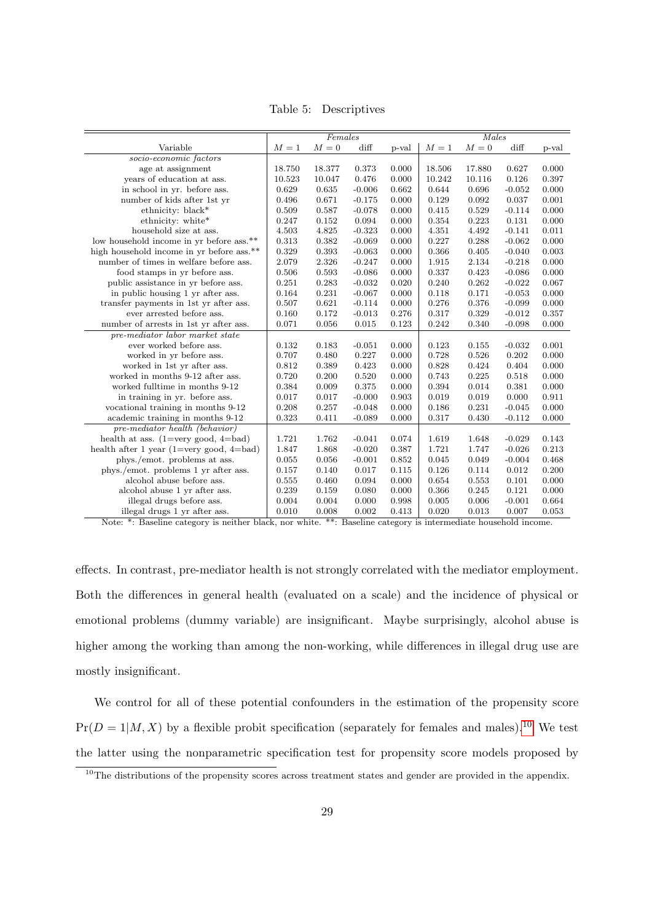<span id="page-28-0"></span>Table 5: Descriptives

|                                            |        | Females |          |             | Males        |        |          |       |  |
|--------------------------------------------|--------|---------|----------|-------------|--------------|--------|----------|-------|--|
| Variable<br>$M=1$                          |        | $M=0$   | diff     | p-val       | ${\cal M}=1$ | $M=0$  | diff     | p-val |  |
| socio-economic factors                     |        |         |          |             |              |        |          |       |  |
| age at assignment                          | 18.750 | 18.377  | 0.373    | 0.000       | 18.506       | 17.880 | 0.627    | 0.000 |  |
| years of education at ass.                 | 10.523 | 10.047  | 0.476    | 0.000       | 10.242       | 10.116 | 0.126    | 0.397 |  |
| in school in yr. before ass.               | 0.629  | 0.635   | $-0.006$ | 0.662       | 0.644        | 0.696  | $-0.052$ | 0.000 |  |
| number of kids after 1st yr                | 0.496  | 0.671   | $-0.175$ | 0.000       | 0.129        | 0.092  | 0.037    | 0.001 |  |
| ethnicity: black*                          | 0.509  | 0.587   | $-0.078$ | 0.000       | 0.415        | 0.529  | $-0.114$ | 0.000 |  |
| ethnicity: white*                          | 0.247  | 0.152   | 0.094    | 0.000       | 0.354        | 0.223  | 0.131    | 0.000 |  |
| household size at ass.                     | 4.503  | 4.825   | $-0.323$ | 0.000       | 4.351        | 4.492  | $-0.141$ | 0.011 |  |
| low household income in yr before ass.**   | 0.313  | 0.382   | $-0.069$ | 0.000       | 0.227        | 0.288  | $-0.062$ | 0.000 |  |
| high household income in yr before ass.**  | 0.329  | 0.393   | $-0.063$ | 0.000       | 0.366        | 0.405  | $-0.040$ | 0.003 |  |
| number of times in welfare before ass.     | 2.079  | 2.326   | $-0.247$ | 0.000       | 1.915        | 2.134  | $-0.218$ | 0.000 |  |
| food stamps in yr before ass.              | 0.506  | 0.593   | $-0.086$ | 0.000       | 0.337        | 0.423  | $-0.086$ | 0.000 |  |
| public assistance in yr before ass.        | 0.251  | 0.283   | $-0.032$ | 0.020       | 0.240        | 0.262  | $-0.022$ | 0.067 |  |
| in public housing 1 yr after ass.          | 0.164  | 0.231   | $-0.067$ | 0.000       | 0.118        | 0.171  | $-0.053$ | 0.000 |  |
| transfer payments in 1st yr after ass.     | 0.507  | 0.621   | $-0.114$ | 0.000       | 0.276        | 0.376  | $-0.099$ | 0.000 |  |
| ever arrested before ass.                  | 0.160  | 0.172   | $-0.013$ | 0.276       | 0.317        | 0.329  | $-0.012$ | 0.357 |  |
| number of arrests in 1st yr after ass.     | 0.071  | 0.056   | 0.015    | $\rm 0.123$ | 0.242        | 0.340  | $-0.098$ | 0.000 |  |
| pre-mediator labor market state            |        |         |          |             |              |        |          |       |  |
| ever worked before ass.                    | 0.132  | 0.183   | $-0.051$ | 0.000       | 0.123        | 0.155  | $-0.032$ | 0.001 |  |
| worked in yr before ass.                   | 0.707  | 0.480   | 0.227    | 0.000       | 0.728        | 0.526  | 0.202    | 0.000 |  |
| worked in 1st yr after ass.                | 0.812  | 0.389   | 0.423    | 0.000       | 0.828        | 0.424  | 0.404    | 0.000 |  |
| worked in months 9-12 after ass.           | 0.720  | 0.200   | 0.520    | 0.000       | 0.743        | 0.225  | 0.518    | 0.000 |  |
| worked fulltime in months 9-12             | 0.384  | 0.009   | 0.375    | 0.000       | 0.394        | 0.014  | 0.381    | 0.000 |  |
| in training in yr. before ass.             | 0.017  | 0.017   | $-0.000$ | 0.903       | 0.019        | 0.019  | 0.000    | 0.911 |  |
| vocational training in months 9-12         | 0.208  | 0.257   | $-0.048$ | 0.000       | 0.186        | 0.231  | $-0.045$ | 0.000 |  |
| academic training in months 9-12           | 0.323  | 0.411   | $-0.089$ | 0.000       | 0.317        | 0.430  | $-0.112$ | 0.000 |  |
| pre-mediator health (behavior)             |        |         |          |             |              |        |          |       |  |
| health at ass. $(1=very good, 4=bad)$      | 1.721  | 1.762   | $-0.041$ | 0.074       | 1.619        | 1.648  | $-0.029$ | 0.143 |  |
| health after 1 year $(1=very good, 4=bad)$ | 1.847  | 1.868   | $-0.020$ | 0.387       | 1.721        | 1.747  | $-0.026$ | 0.213 |  |
| phys./emot. problems at ass.               | 0.055  | 0.056   | $-0.001$ | 0.852       | 0.045        | 0.049  | $-0.004$ | 0.468 |  |
| phys./emot. problems 1 yr after ass.       | 0.157  | 0.140   | 0.017    | 0.115       | 0.126        | 0.114  | 0.012    | 0.200 |  |
| alcohol abuse before ass.                  | 0.555  | 0.460   | 0.094    | 0.000       | 0.654        | 0.553  | 0.101    | 0.000 |  |
| alcohol abuse 1 yr after ass.              | 0.239  | 0.159   | 0.080    | 0.000       | 0.366        | 0.245  | 0.121    | 0.000 |  |
| illegal drugs before ass.                  | 0.004  | 0.004   | 0.000    | 0.998       | 0.005        | 0.006  | $-0.001$ | 0.664 |  |
| illegal drugs 1 yr after ass.              | 0.010  | 0.008   | 0.002    | 0.413       | 0.020        | 0.013  | 0.007    | 0.053 |  |

Note: \*: Baseline category is neither black, nor white. \*\*: Baseline category is intermediate household income.

effects. In contrast, pre-mediator health is not strongly correlated with the mediator employment. Both the differences in general health (evaluated on a scale) and the incidence of physical or emotional problems (dummy variable) are insignificant. Maybe surprisingly, alcohol abuse is higher among the working than among the non-working, while differences in illegal drug use are mostly insignificant.

We control for all of these potential confounders in the estimation of the propensity score  $Pr(D = 1|M, X)$  by a flexible probit specification (separately for females and males).<sup>[10](#page-0-0)</sup> We test the latter using the nonparametric specification test for propensity score models proposed by

<sup>&</sup>lt;sup>10</sup>The distributions of the propensity scores across treatment states and gender are provided in the appendix.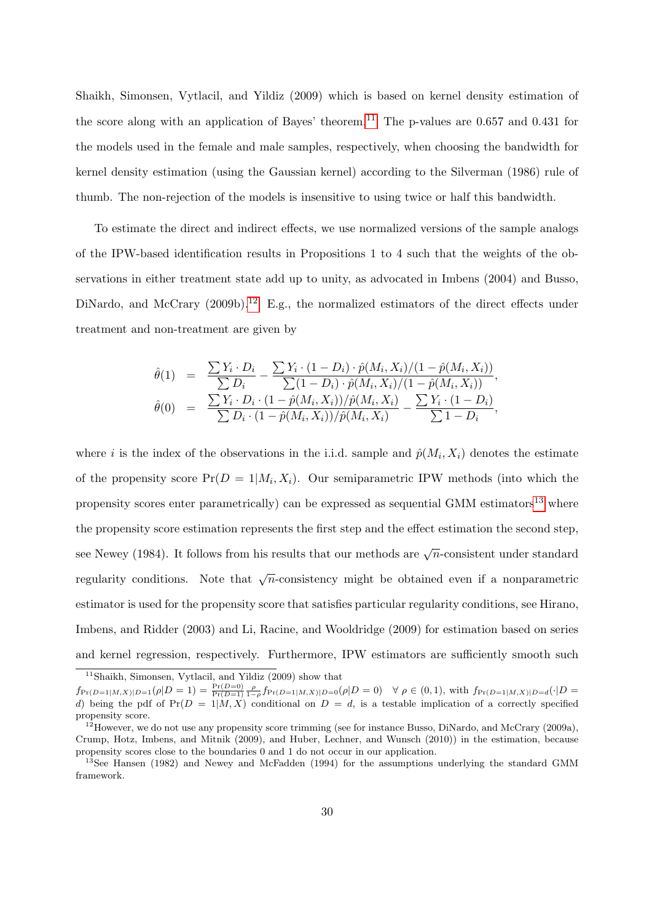Shaikh, Simonsen, Vytlacil, and Yildiz (2009) which is based on kernel density estimation of the score along with an application of Bayes' theorem.<sup>[11](#page-0-0)</sup> The p-values are 0.657 and 0.431 for the models used in the female and male samples, respectively, when choosing the bandwidth for kernel density estimation (using the Gaussian kernel) according to the Silverman (1986) rule of thumb. The non-rejection of the models is insensitive to using twice or half this bandwidth.

To estimate the direct and indirect effects, we use normalized versions of the sample analogs of the IPW-based identification results in Propositions 1 to 4 such that the weights of the observations in either treatment state add up to unity, as advocated in Imbens (2004) and Busso, DiNardo, and McCrary  $(2009b).^{12}$  $(2009b).^{12}$  $(2009b).^{12}$  E.g., the normalized estimators of the direct effects under treatment and non-treatment are given by

$$
\hat{\theta}(1) = \frac{\sum Y_i \cdot D_i}{\sum D_i} - \frac{\sum Y_i \cdot (1 - D_i) \cdot \hat{p}(M_i, X_i)/(1 - \hat{p}(M_i, X_i))}{\sum (1 - D_i) \cdot \hat{p}(M_i, X_i)/(1 - \hat{p}(M_i, X_i))},
$$
  

$$
\hat{\theta}(0) = \frac{\sum Y_i \cdot D_i \cdot (1 - \hat{p}(M_i, X_i))/\hat{p}(M_i, X_i)}{\sum D_i \cdot (1 - \hat{p}(M_i, X_i))/\hat{p}(M_i, X_i)} - \frac{\sum Y_i \cdot (1 - D_i)}{\sum 1 - D_i},
$$

where *i* is the index of the observations in the i.i.d. sample and  $\hat{p}(M_i, X_i)$  denotes the estimate of the propensity score  $Pr(D = 1 | M_i, X_i)$ . Our semiparametric IPW methods (into which the propensity scores enter parametrically) can be expressed as sequential GMM estimators<sup>[13](#page-0-0)</sup> where the propensity score estimation represents the first step and the effect estimation the second step, see Newey (1984). It follows from his results that our methods are  $\sqrt{n}$ -consistent under standard regularity conditions. Note that  $\sqrt{n}$ -consistency might be obtained even if a nonparametric estimator is used for the propensity score that satisfies particular regularity conditions, see Hirano, Imbens, and Ridder (2003) and Li, Racine, and Wooldridge (2009) for estimation based on series and kernel regression, respectively. Furthermore, IPW estimators are sufficiently smooth such

<sup>11</sup>Shaikh, Simonsen, Vytlacil, and Yildiz (2009) show that

 $f_{\Pr(D=1|M,X)|D=1}(\rho|D=1) = \frac{\Pr(D=0)}{\Pr(D=1)} \frac{\rho}{1-\rho} f_{\Pr(D=1|M,X)|D=0}(\rho|D=0) \quad \forall \rho \in (0,1)$ , with  $f_{\Pr(D=1|M,X)|D=d}(\cdot|D=1)$ d) being the pdf of  $Pr(D = 1|M, X)$  conditional on  $D = d$ , is a testable implication of a correctly specified propensity score.

 $12$ However, we do not use any propensity score trimming (see for instance Busso, DiNardo, and McCrary (2009a), Crump, Hotz, Imbens, and Mitnik (2009), and Huber, Lechner, and Wunsch (2010)) in the estimation, because propensity scores close to the boundaries 0 and 1 do not occur in our application.

<sup>&</sup>lt;sup>13</sup>See Hansen (1982) and Newey and McFadden (1994) for the assumptions underlying the standard GMM framework.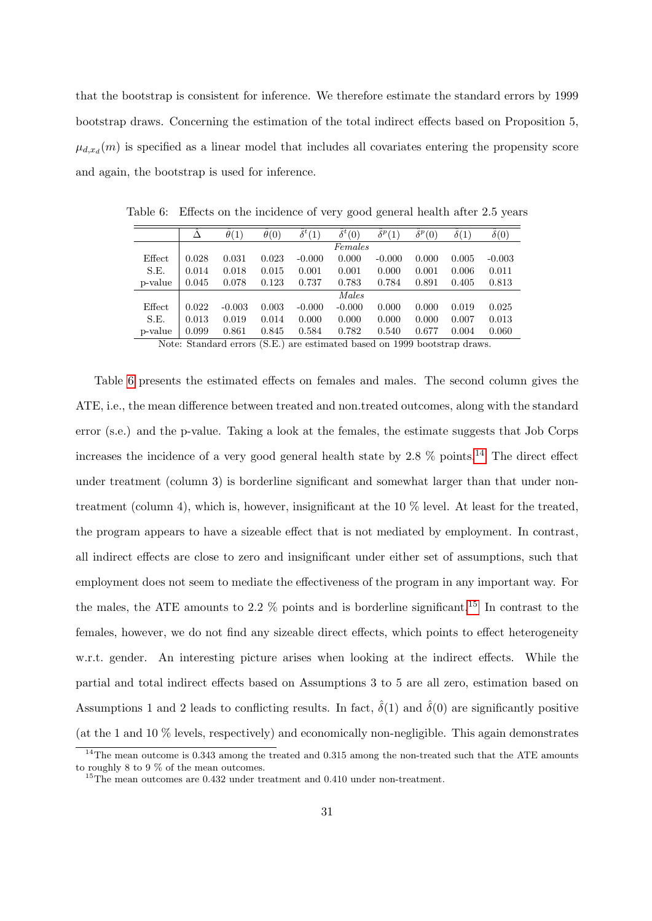that the bootstrap is consistent for inference. We therefore estimate the standard errors by 1999 bootstrap draws. Concerning the estimation of the total indirect effects based on Proposition 5,  $\mu_{d,x_d}(m)$  is specified as a linear model that includes all covariates entering the propensity score and again, the bootstrap is used for inference.

|         |       | $\theta(1)$ | $\theta(0)$                   | $\overline{\hat{\delta}^t(1)}$ | $\overline{\delta^t(0)}$ | $\ddot{\delta}^p(1)$ | $\hat{\delta}^p(0)$ | $\delta(1)$ | $\ddot{\delta}(0)$ |
|---------|-------|-------------|-------------------------------|--------------------------------|--------------------------|----------------------|---------------------|-------------|--------------------|
|         |       |             |                               |                                | Females                  |                      |                     |             |                    |
| Effect  | 0.028 | 0.031       | 0.023                         | $-0.000$                       | 0.000                    | $-0.000$             | 0.000               | 0.005       | $-0.003$           |
| S.E.    | 0.014 | 0.018       | 0.015                         | 0.001                          | 0.001                    | 0.000                | 0.001               | 0.006       | 0.011              |
| p-value | 0.045 | 0.078       | 0.123                         | 0.737                          | 0.783                    | 0.784                | 0.891               | 0.405       | 0.813              |
|         |       |             |                               |                                | Males                    |                      |                     |             |                    |
| Effect  | 0.022 | $-0.003$    | 0.003                         | $-0.000$                       | $-0.000$                 | 0.000                | 0.000               | 0.019       | 0.025              |
| S.E.    | 0.013 | 0.019       | 0.014                         | 0.000                          | 0.000                    | 0.000                | 0.000               | 0.007       | 0.013              |
| p-value | 0.099 | 0.861       | 0.845<br>$\sim$ $\sim$ $\sim$ | 0.584                          | 0.782                    | 0.540                | 0.677               | 0.004       | 0.060              |

<span id="page-30-0"></span>Table 6: Effects on the incidence of very good general health after 2.5 years

Note: Standard errors (S.E.) are estimated based on 1999 bootstrap draws.

Table [6](#page-30-0) presents the estimated effects on females and males. The second column gives the ATE, i.e., the mean difference between treated and non.treated outcomes, along with the standard error (s.e.) and the p-value. Taking a look at the females, the estimate suggests that Job Corps increases the incidence of a very good general health state by 2.8  $\%$  points.<sup>[14](#page-0-0)</sup> The direct effect under treatment (column 3) is borderline significant and somewhat larger than that under nontreatment (column 4), which is, however, insignificant at the 10 % level. At least for the treated, the program appears to have a sizeable effect that is not mediated by employment. In contrast, all indirect effects are close to zero and insignificant under either set of assumptions, such that employment does not seem to mediate the effectiveness of the program in any important way. For the males, the ATE amounts to 2.2  $\%$  points and is borderline significant.<sup>[15](#page-0-0)</sup> In contrast to the females, however, we do not find any sizeable direct effects, which points to effect heterogeneity w.r.t. gender. An interesting picture arises when looking at the indirect effects. While the partial and total indirect effects based on Assumptions 3 to 5 are all zero, estimation based on Assumptions 1 and 2 leads to conflicting results. In fact,  $\hat{\delta}(1)$  and  $\hat{\delta}(0)$  are significantly positive (at the 1 and 10 % levels, respectively) and economically non-negligible. This again demonstrates

<sup>&</sup>lt;sup>14</sup>The mean outcome is 0.343 among the treated and 0.315 among the non-treated such that the ATE amounts to roughly 8 to 9 % of the mean outcomes.

<sup>&</sup>lt;sup>15</sup>The mean outcomes are 0.432 under treatment and 0.410 under non-treatment.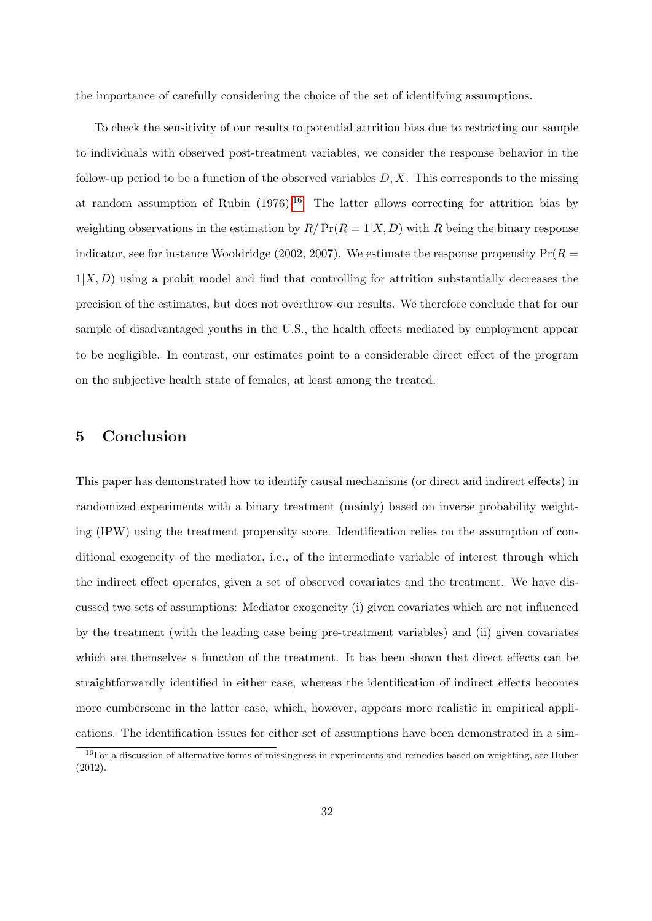the importance of carefully considering the choice of the set of identifying assumptions.

To check the sensitivity of our results to potential attrition bias due to restricting our sample to individuals with observed post-treatment variables, we consider the response behavior in the follow-up period to be a function of the observed variables  $D, X$ . This corresponds to the missing at random assumption of Rubin  $(1976)^{16}$  $(1976)^{16}$  $(1976)^{16}$  The latter allows correcting for attrition bias by weighting observations in the estimation by  $R/Pr(R = 1|X, D)$  with R being the binary response indicator, see for instance Wooldridge (2002, 2007). We estimate the response propensity  $Pr(R =$  $1|X, D$  using a probit model and find that controlling for attrition substantially decreases the precision of the estimates, but does not overthrow our results. We therefore conclude that for our sample of disadvantaged youths in the U.S., the health effects mediated by employment appear to be negligible. In contrast, our estimates point to a considerable direct effect of the program on the subjective health state of females, at least among the treated.

### 5 Conclusion

This paper has demonstrated how to identify causal mechanisms (or direct and indirect effects) in randomized experiments with a binary treatment (mainly) based on inverse probability weighting (IPW) using the treatment propensity score. Identification relies on the assumption of conditional exogeneity of the mediator, i.e., of the intermediate variable of interest through which the indirect effect operates, given a set of observed covariates and the treatment. We have discussed two sets of assumptions: Mediator exogeneity (i) given covariates which are not influenced by the treatment (with the leading case being pre-treatment variables) and (ii) given covariates which are themselves a function of the treatment. It has been shown that direct effects can be straightforwardly identified in either case, whereas the identification of indirect effects becomes more cumbersome in the latter case, which, however, appears more realistic in empirical applications. The identification issues for either set of assumptions have been demonstrated in a sim-

 $16$  For a discussion of alternative forms of missingness in experiments and remedies based on weighting, see Huber (2012).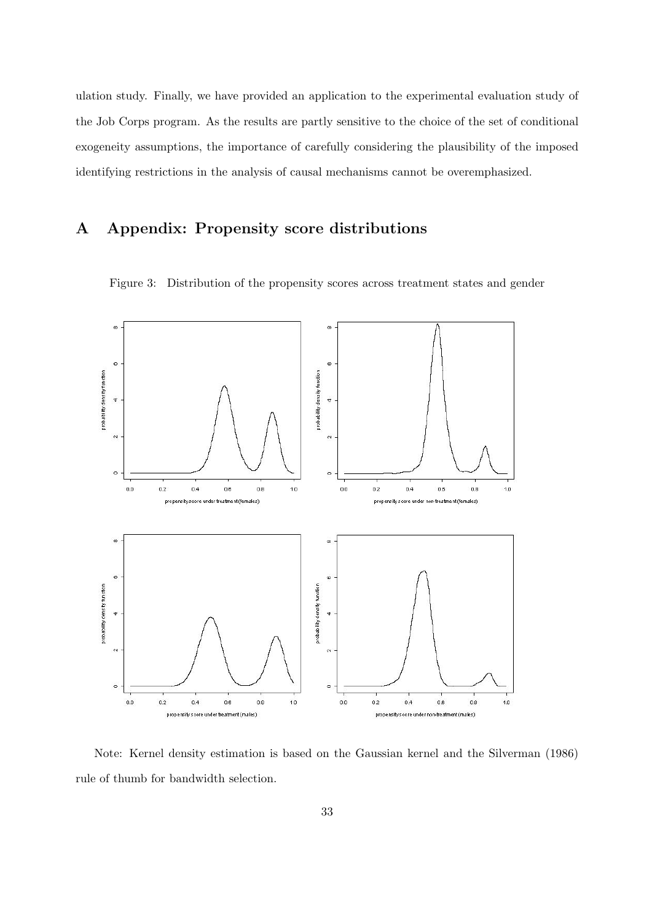ulation study. Finally, we have provided an application to the experimental evaluation study of the Job Corps program. As the results are partly sensitive to the choice of the set of conditional exogeneity assumptions, the importance of carefully considering the plausibility of the imposed identifying restrictions in the analysis of causal mechanisms cannot be overemphasized.

# A Appendix: Propensity score distributions



Figure 3: Distribution of the propensity scores across treatment states and gender

Note: Kernel density estimation is based on the Gaussian kernel and the Silverman (1986) rule of thumb for bandwidth selection.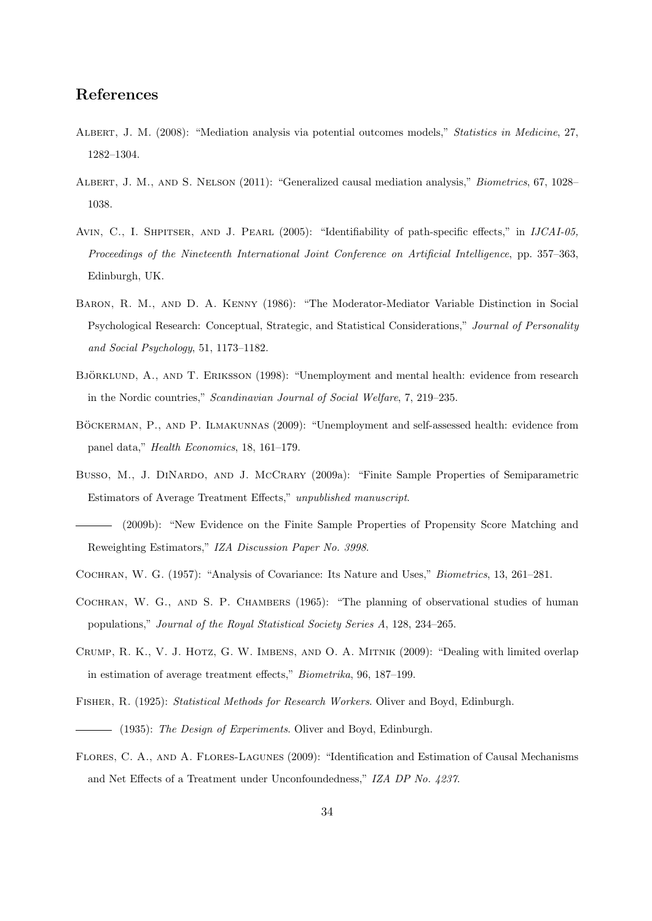# References

- ALBERT, J. M. (2008): "Mediation analysis via potential outcomes models," Statistics in Medicine, 27, 1282–1304.
- ALBERT, J. M., AND S. NELSON (2011): "Generalized causal mediation analysis," *Biometrics*, 67, 1028– 1038.
- AVIN, C., I. SHPITSER, AND J. PEARL (2005): "Identifiability of path-specific effects," in IJCAI-05, Proceedings of the Nineteenth International Joint Conference on Artificial Intelligence, pp. 357–363, Edinburgh, UK.
- Baron, R. M., and D. A. Kenny (1986): "The Moderator-Mediator Variable Distinction in Social Psychological Research: Conceptual, Strategic, and Statistical Considerations," Journal of Personality and Social Psychology, 51, 1173–1182.
- BJÖRKLUND, A., AND T. ERIKSSON (1998): "Unemployment and mental health: evidence from research in the Nordic countries," Scandinavian Journal of Social Welfare, 7, 219–235.
- BÖCKERMAN, P., AND P. ILMAKUNNAS (2009): "Unemployment and self-assessed health: evidence from panel data," Health Economics, 18, 161–179.
- Busso, M., J. DINARDO, AND J. MCCRARY (2009a): "Finite Sample Properties of Semiparametric Estimators of Average Treatment Effects," unpublished manuscript.
- (2009b): "New Evidence on the Finite Sample Properties of Propensity Score Matching and Reweighting Estimators," IZA Discussion Paper No. 3998.
- Cochran, W. G. (1957): "Analysis of Covariance: Its Nature and Uses," Biometrics, 13, 261–281.
- Cochran, W. G., and S. P. Chambers (1965): "The planning of observational studies of human populations," Journal of the Royal Statistical Society Series A, 128, 234–265.
- CRUMP, R. K., V. J. HOTZ, G. W. IMBENS, AND O. A. MITNIK (2009): "Dealing with limited overlap in estimation of average treatment effects," Biometrika, 96, 187–199.
- Fisher, R. (1925): Statistical Methods for Research Workers. Oliver and Boyd, Edinburgh.
- $-$  (1935): The Design of Experiments. Oliver and Boyd, Edinburgh.
- Flores, C. A., and A. Flores-Lagunes (2009): "Identification and Estimation of Causal Mechanisms and Net Effects of a Treatment under Unconfoundedness," IZA DP No. 4237.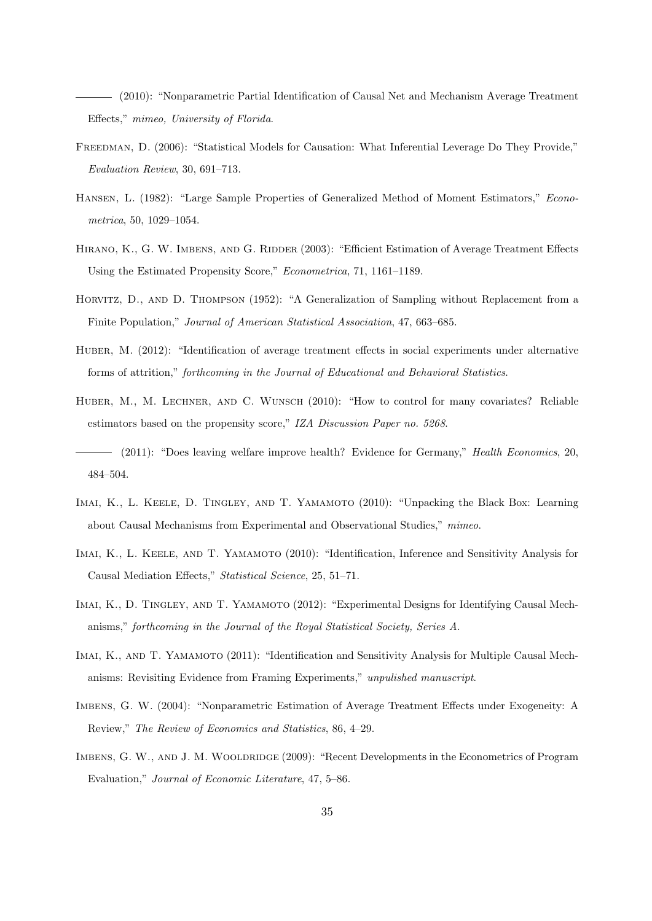(2010): "Nonparametric Partial Identification of Causal Net and Mechanism Average Treatment Effects," mimeo, University of Florida.

- FREEDMAN, D. (2006): "Statistical Models for Causation: What Inferential Leverage Do They Provide," Evaluation Review, 30, 691–713.
- Hansen, L. (1982): "Large Sample Properties of Generalized Method of Moment Estimators," Econometrica, 50, 1029–1054.
- HIRANO, K., G. W. IMBENS, AND G. RIDDER (2003): "Efficient Estimation of Average Treatment Effects Using the Estimated Propensity Score," Econometrica, 71, 1161–1189.
- HORVITZ, D., AND D. THOMPSON (1952): "A Generalization of Sampling without Replacement from a Finite Population," Journal of American Statistical Association, 47, 663–685.
- HUBER, M. (2012): "Identification of average treatment effects in social experiments under alternative forms of attrition," forthcoming in the Journal of Educational and Behavioral Statistics.
- HUBER, M., M. LECHNER, AND C. WUNSCH (2010): "How to control for many covariates? Reliable estimators based on the propensity score," IZA Discussion Paper no. 5268.
- (2011): "Does leaving welfare improve health? Evidence for Germany," Health Economics, 20, 484–504.
- IMAI, K., L. KEELE, D. TINGLEY, AND T. YAMAMOTO (2010): "Unpacking the Black Box: Learning about Causal Mechanisms from Experimental and Observational Studies," mimeo.
- Imai, K., L. Keele, and T. Yamamoto (2010): "Identification, Inference and Sensitivity Analysis for Causal Mediation Effects," Statistical Science, 25, 51–71.
- Imai, K., D. Tingley, and T. Yamamoto (2012): "Experimental Designs for Identifying Causal Mechanisms," forthcoming in the Journal of the Royal Statistical Society, Series A.
- IMAI, K., AND T. YAMAMOTO (2011): "Identification and Sensitivity Analysis for Multiple Causal Mechanisms: Revisiting Evidence from Framing Experiments," unpulished manuscript.
- Imbens, G. W. (2004): "Nonparametric Estimation of Average Treatment Effects under Exogeneity: A Review," The Review of Economics and Statistics, 86, 4–29.
- IMBENS, G. W., AND J. M. WOOLDRIDGE (2009): "Recent Developments in the Econometrics of Program Evaluation," Journal of Economic Literature, 47, 5–86.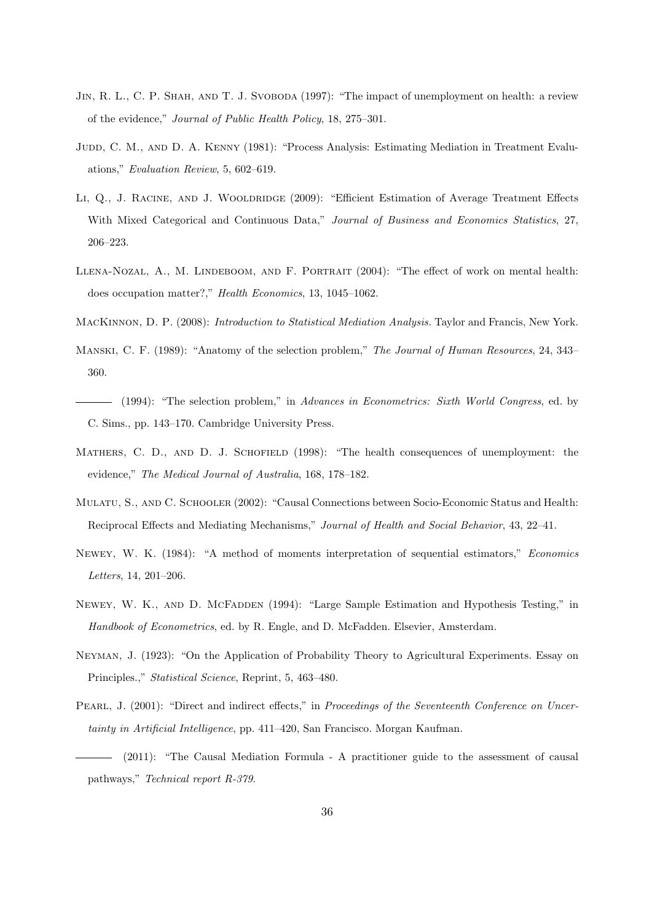- JIN, R. L., C. P. SHAH, AND T. J. SVOBODA (1997): "The impact of unemployment on health: a review of the evidence," Journal of Public Health Policy, 18, 275–301.
- JUDD, C. M., AND D. A. KENNY (1981): "Process Analysis: Estimating Mediation in Treatment Evaluations," Evaluation Review, 5, 602–619.
- LI, Q., J. RACINE, AND J. WOOLDRIDGE (2009): "Efficient Estimation of Average Treatment Effects With Mixed Categorical and Continuous Data," Journal of Business and Economics Statistics, 27, 206–223.
- LLENA-NOZAL, A., M. LINDEBOOM, AND F. PORTRAIT (2004): "The effect of work on mental health: does occupation matter?," Health Economics, 13, 1045–1062.
- MacKinnon, D. P. (2008): Introduction to Statistical Mediation Analysis. Taylor and Francis, New York.
- MANSKI, C. F. (1989): "Anatomy of the selection problem," The Journal of Human Resources, 24, 343– 360.
- (1994): "The selection problem," in Advances in Econometrics: Sixth World Congress, ed. by C. Sims., pp. 143–170. Cambridge University Press.
- MATHERS, C. D., AND D. J. SCHOFIELD (1998): "The health consequences of unemployment: the evidence," The Medical Journal of Australia, 168, 178–182.
- Mulatu, S., and C. Schooler (2002): "Causal Connections between Socio-Economic Status and Health: Reciprocal Effects and Mediating Mechanisms," Journal of Health and Social Behavior, 43, 22–41.
- Newey, W. K. (1984): "A method of moments interpretation of sequential estimators," Economics Letters, 14, 201–206.
- NEWEY, W. K., AND D. MCFADDEN (1994): "Large Sample Estimation and Hypothesis Testing," in Handbook of Econometrics, ed. by R. Engle, and D. McFadden. Elsevier, Amsterdam.
- Neyman, J. (1923): "On the Application of Probability Theory to Agricultural Experiments. Essay on Principles.," Statistical Science, Reprint, 5, 463–480.
- Pearl, J. (2001): "Direct and indirect effects," in Proceedings of the Seventeenth Conference on Uncertainty in Artificial Intelligence, pp. 411–420, San Francisco. Morgan Kaufman.
- (2011): "The Causal Mediation Formula A practitioner guide to the assessment of causal pathways," Technical report R-379.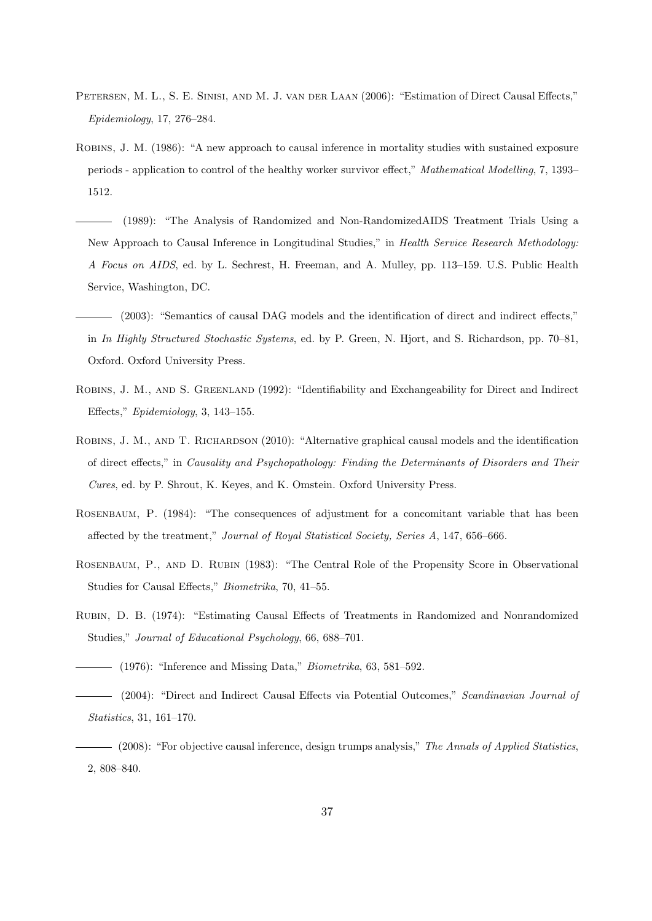- Petersen, M. L., S. E. Sinisi, and M. J. van der Laan (2006): "Estimation of Direct Causal Effects," Epidemiology, 17, 276–284.
- Robins, J. M. (1986): "A new approach to causal inference in mortality studies with sustained exposure periods - application to control of the healthy worker survivor effect," Mathematical Modelling, 7, 1393– 1512.
	- (1989): "The Analysis of Randomized and Non-RandomizedAIDS Treatment Trials Using a New Approach to Causal Inference in Longitudinal Studies," in Health Service Research Methodology: A Focus on AIDS, ed. by L. Sechrest, H. Freeman, and A. Mulley, pp. 113–159. U.S. Public Health Service, Washington, DC.
- (2003): "Semantics of causal DAG models and the identification of direct and indirect effects," in In Highly Structured Stochastic Systems, ed. by P. Green, N. Hjort, and S. Richardson, pp. 70–81, Oxford. Oxford University Press.
- ROBINS, J. M., AND S. GREENLAND (1992): "Identifiability and Exchangeability for Direct and Indirect Effects," Epidemiology, 3, 143–155.
- ROBINS, J. M., AND T. RICHARDSON (2010): "Alternative graphical causal models and the identification of direct effects," in Causality and Psychopathology: Finding the Determinants of Disorders and Their Cures, ed. by P. Shrout, K. Keyes, and K. Omstein. Oxford University Press.
- ROSENBAUM, P. (1984): "The consequences of adjustment for a concomitant variable that has been affected by the treatment," Journal of Royal Statistical Society, Series A, 147, 656–666.
- Rosenbaum, P., and D. Rubin (1983): "The Central Role of the Propensity Score in Observational Studies for Causal Effects," Biometrika, 70, 41–55.
- Rubin, D. B. (1974): "Estimating Causal Effects of Treatments in Randomized and Nonrandomized Studies," Journal of Educational Psychology, 66, 688–701.
- $\hspace{1.5cm}$  (1976): "Inference and Missing Data," *Biometrika*, 63, 581–592.
- (2004): "Direct and Indirect Causal Effects via Potential Outcomes," Scandinavian Journal of Statistics, 31, 161–170.
- (2008): "For objective causal inference, design trumps analysis," The Annals of Applied Statistics, 2, 808–840.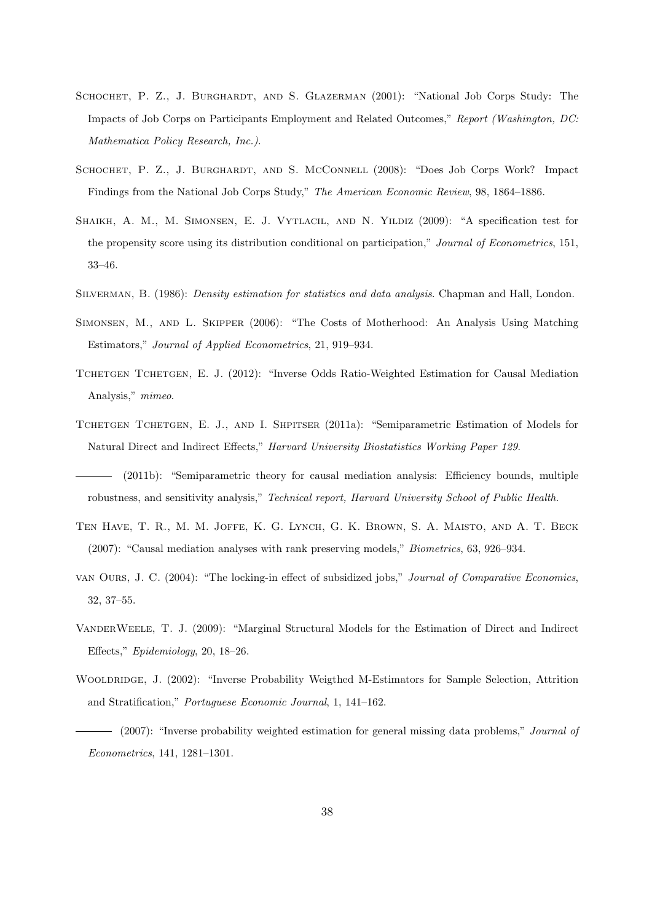- SCHOCHET, P. Z., J. BURGHARDT, AND S. GLAZERMAN (2001): "National Job Corps Study: The Impacts of Job Corps on Participants Employment and Related Outcomes," Report (Washington, DC: Mathematica Policy Research, Inc.).
- Schochet, P. Z., J. Burghardt, and S. McConnell (2008): "Does Job Corps Work? Impact Findings from the National Job Corps Study," The American Economic Review, 98, 1864–1886.
- Shaikh, A. M., M. Simonsen, E. J. Vytlacil, and N. Yildiz (2009): "A specification test for the propensity score using its distribution conditional on participation," Journal of Econometrics, 151, 33–46.
- SILVERMAN, B. (1986): *Density estimation for statistics and data analysis*. Chapman and Hall, London.
- Simonsen, M., and L. Skipper (2006): "The Costs of Motherhood: An Analysis Using Matching Estimators," Journal of Applied Econometrics, 21, 919–934.
- TCHETGEN TCHETGEN, E. J. (2012): "Inverse Odds Ratio-Weighted Estimation for Causal Mediation Analysis," mimeo.
- TCHETGEN TCHETGEN, E. J., AND I. SHPITSER (2011a): "Semiparametric Estimation of Models for Natural Direct and Indirect Effects," Harvard University Biostatistics Working Paper 129.
- (2011b): "Semiparametric theory for causal mediation analysis: Efficiency bounds, multiple robustness, and sensitivity analysis," Technical report, Harvard University School of Public Health.
- Ten Have, T. R., M. M. Joffe, K. G. Lynch, G. K. Brown, S. A. Maisto, and A. T. Beck (2007): "Causal mediation analyses with rank preserving models," Biometrics, 63, 926–934.
- van Ours, J. C. (2004): "The locking-in effect of subsidized jobs," Journal of Comparative Economics, 32, 37–55.
- VanderWeele, T. J. (2009): "Marginal Structural Models for the Estimation of Direct and Indirect Effects," Epidemiology, 20, 18–26.
- WOOLDRIDGE, J. (2002): "Inverse Probability Weigthed M-Estimators for Sample Selection, Attrition and Stratification," Portuguese Economic Journal, 1, 141–162.

<sup>- (2007): &</sup>quot;Inverse probability weighted estimation for general missing data problems," Journal of Econometrics, 141, 1281–1301.